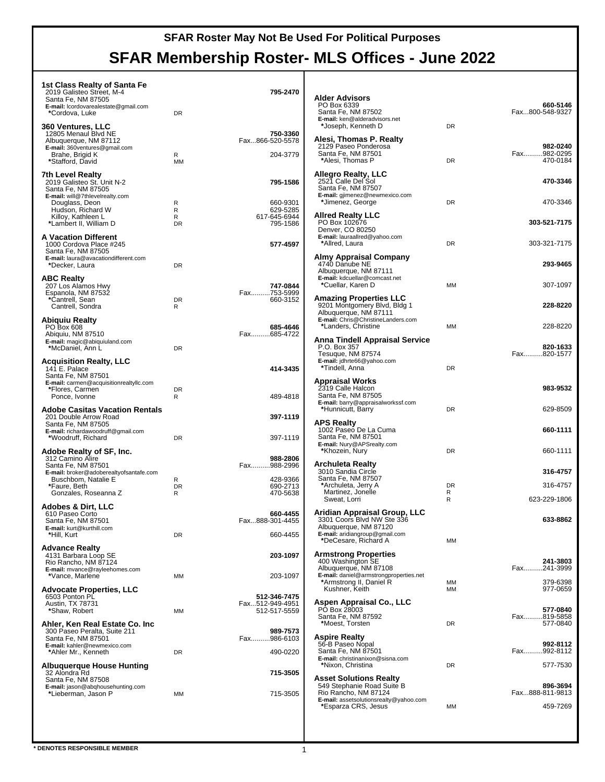| 1st Class Realty of Santa Fe<br>2019 Galisteo Street, M-4<br>Santa Fe, NM 87505<br>E-mail: lcordovarealestate@gmail.com<br>*Cordova, Luke<br>360 Ventures, LLC | <b>DR</b>      | 795-2470                                | <b>Alder Advisors</b><br>PO Box 6339<br>Santa Fe, NM 87502<br>E-mail: ken@alderadvisors.net<br>*Joseph, Kenneth D            | <b>DR</b>    | 660-5146<br>Fax800-548-9327         |
|----------------------------------------------------------------------------------------------------------------------------------------------------------------|----------------|-----------------------------------------|------------------------------------------------------------------------------------------------------------------------------|--------------|-------------------------------------|
| 12805 Menaul Blvd NE<br>Albuquerque, NM 87112<br>E-mail: 360ventures@gmail.com<br>Brahe, Brigid K<br>*Stafford, David                                          | R<br><b>MM</b> | 750-3360<br>Fax866-520-5578<br>204-3779 | Alesi, Thomas P. Realty<br>2129 Paseo Ponderosa<br>Santa Fe, NM 87501<br>*Alesi, Thomas P                                    | DR           | 982-0240<br>Fax982-0295<br>470-0184 |
| <b>7th Level Realty</b><br>2019 Galisteo St. Unit N-2<br>Santa Fe, NM 87505<br>E-mail: will@7thlevelrealty.com                                                 |                | 795-1586                                | Allegro Realty, LLC<br>2521 Calle Del Sol<br>Santa Fe, NM 87507<br>E-mail: gjimenez@newmexico.com                            |              | 470-3346                            |
| Douglass, Deon<br>Hudson, Richard W<br>Killoy, Kathleen L                                                                                                      | R<br>R         | 660-9301<br>629-5285                    | *Jimenez, George<br><b>Allred Realty LLC</b>                                                                                 | DR           | 470-3346                            |
| *Lambert II, William D                                                                                                                                         | R<br><b>DR</b> | 617-645-6944<br>795-1586                | PO Box 102676<br>Denver, CO 80250                                                                                            |              | 303-521-7175                        |
| <b>A Vacation Different</b><br>1000 Cordova Place #245<br>Santa Fe, NM 87505                                                                                   |                | 577-4597                                | E-mail: lauraallred@yahoo.com<br>*Allred, Laura                                                                              | DR           | 303-321-7175                        |
| E-mail: laura@avacationdifferent.com<br>*Decker, Laura                                                                                                         | <b>DR</b>      |                                         | Almy Appraisal Company<br>4740 Danube NE<br>Albuquerque, NM 87111                                                            |              | 293-9465                            |
| <b>ABC Realty</b><br>207 Los Alamos Hwy<br>Espanola, NM 87532                                                                                                  |                | 747-0844<br>Fax753-5999                 | E-mail: kdcuellar@comcast.net<br>*Cuellar, Karen D                                                                           | MM           | 307-1097                            |
| *Cantrell, Sean<br>Cantrell, Sondra                                                                                                                            | <b>DR</b><br>R | 660-3152                                | <b>Amazing Properties LLC</b><br>9201 Montgomery Blvd, Bldg 1<br>Albuquerque, NM 87111<br>E-mail: Chris@ChristineLanders.com |              | 228-8220                            |
| Abiquiu Realty<br>PO Box 608<br>Abiquiu, NM 87510                                                                                                              |                | 685-4646<br>Fax685-4722                 | *Landers. Christine<br>Anna Tindell Appraisal Service                                                                        | MM           | 228-8220                            |
| E-mail: magic@abiquiuland.com<br>*McDaniel, Ann L                                                                                                              | <b>DR</b>      |                                         | P.O. Box 357<br>Tesuque, NM 87574<br>E-mail: jdhrte66@yahoo.com                                                              |              | 820-1633<br>Fax820-1577             |
| <b>Acquisition Realty, LLC</b><br>141 E. Palace<br>Santa Fe, NM 87501                                                                                          |                | 414-3435                                | *Tindell, Anna<br><b>Appraisal Works</b>                                                                                     | DR           |                                     |
| E-mail: carmen@acquisitionrealtyllc.com<br>*Flores, Carmen<br>Ponce, Ivonne                                                                                    | <b>DR</b><br>R | 489-4818                                | 2319 Calle Halcon<br>Santa Fe, NM 87505                                                                                      |              | 983-9532                            |
| <b>Adobe Casitas Vacation Rentals</b><br>201 Double Arrow Road                                                                                                 |                | 397-1119                                | E-mail: barry@appraisalworkssf.com<br>*Hunnicutt, Barry                                                                      | DR           | 629-8509                            |
| Santa Fe, NM 87505<br>E-mail: richardawoodruff@gmail.com<br>*Woodruff, Richard                                                                                 | <b>DR</b>      | 397-1119                                | <b>APS Realty</b><br>1002 Paseo De La Cuma<br>Santa Fe, NM 87501                                                             |              | 660-1111                            |
| Adobe Realty of SF, Inc.<br>312 Camino Alire                                                                                                                   |                | 988-2806                                | E-mail: Nury@APSrealty.com<br>*Khozein, Nury                                                                                 | DR           | 660-1111                            |
| Santa Fe, NM 87501<br>E-mail: broker@adoberealtyofsantafe.com<br>Buschbom, Natalie E                                                                           | R              | Fax988-2996<br>428-9366                 | Archuleta Realty<br>3010 Sandia Circle<br>Santa Fe, NM 87507                                                                 |              | 316-4757                            |
| *Faure, Beth<br>Gonzales, Roseanna Z                                                                                                                           | DR<br>R        | 690-2713<br>470-5638                    | *Archuleta, Jerry A<br>Martinez, Jonelle<br>Sweat, Lorri                                                                     | DR<br>R<br>R | 316-4757<br>623-229-1806            |
| <b>Adobes &amp; Dirt, LLC</b><br>610 Paseo Corto                                                                                                               |                | 660-4455                                | Aridian Appraisal Group, LLC                                                                                                 |              |                                     |
| Santa Fe, NM 87501<br>E-mail: kurt@kurthill.com<br>*Hill, Kurt                                                                                                 | <b>DR</b>      | Fax888-301-4455<br>660-4455             | 3301 Coors Blvd NW Ste 336<br>Albuquerque, NM 87120<br>E-mail: aridiangroup@gmail.com                                        |              | 633-8862                            |
| <b>Advance Realty</b><br>4131 Barbara Loop SE                                                                                                                  |                | 203-1097                                | *DeCesare, Richard A<br><b>Armstrong Properties</b>                                                                          | MM           |                                     |
| Rio Rancho, NM 87124<br>E-mail: mvance@rayleehomes.com<br>*Vance, Marlene                                                                                      | MM             | 203-1097                                | 400 Washington SE<br>Albuquerque, NM 87108<br>E-mail: daniel@armstrongproperties.net                                         |              | 241-3803<br>Fax241-3999             |
| <b>Advocate Properties, LLC</b><br>6503 Ponton PL                                                                                                              |                | 512-346-7475                            | *Armstrong II, Daniel R<br>Kushner, Keith                                                                                    | MM<br>MM     | 379-6398<br>977-0659                |
| Austin, TX 78731<br>*Shaw, Robert                                                                                                                              | MM             | Fax512-949-4951<br>512-517-5559         | Aspen Appraisal Co., LLC<br>PO Box 28003<br>Santa Fe, NM 87592                                                               |              | 577-0840<br>Fax819-5858             |
| Ahler, Ken Real Estate Co. Inc<br>300 Paseo Peralta, Suite 211<br>Santa Fe, NM 87501                                                                           |                | 989-7573<br>Fax986-6103                 | *Moest, Torsten<br><b>Aspire Realty</b>                                                                                      | DR           | 577-0840                            |
| E-mail: kahler@newmexico.com<br>*Ahler Mr., Kenneth                                                                                                            | <b>DR</b>      | 490-0220                                | 56-B Paseo Nopal<br>Santa Fe, NM 87501                                                                                       |              | 992-8112<br>Fax992-8112             |
| Albuquerque House Hunting<br>32 Alondra Rd                                                                                                                     |                | 715-3505                                | E-mail: christinanixon@sisna.com<br>*Nixon, Christina                                                                        | DR           | 577-7530                            |
| Santa Fe, NM 87508<br>E-mail: jason@abqhousehunting.com<br>*Lieberman, Jason P                                                                                 | MM             | 715-3505                                | <b>Asset Solutions Realty</b><br>549 Stephanie Road Suite B<br>Rio Rancho, NM 87124                                          |              | 896-3694<br>Fax888-811-9813         |
|                                                                                                                                                                |                |                                         | E-mail: assetsolutionsrealty@yahoo.com<br>*Esparza CRS, Jesus                                                                | MM           | 459-7269                            |
|                                                                                                                                                                |                |                                         |                                                                                                                              |              |                                     |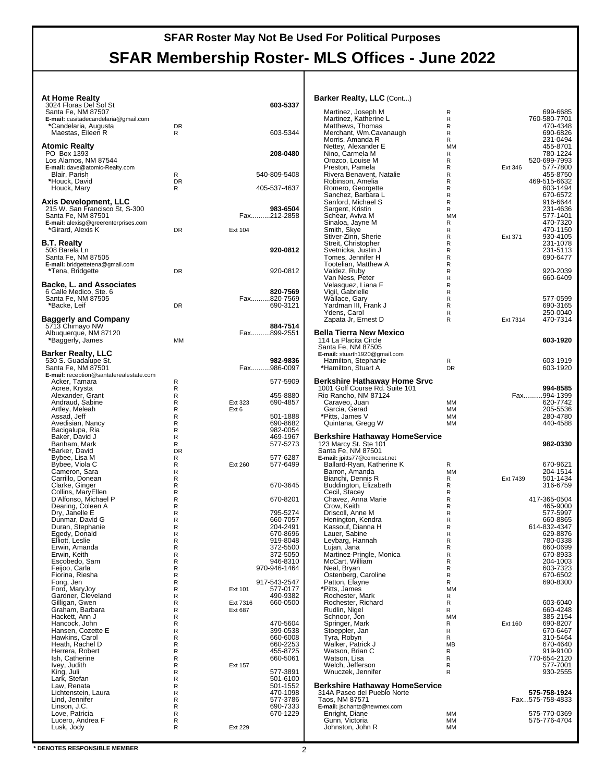| <b>At Home Realty</b>                                          |                             |                                     | <b>Barker Realty, LLC (Cont)</b>                               |                 |                                 |
|----------------------------------------------------------------|-----------------------------|-------------------------------------|----------------------------------------------------------------|-----------------|---------------------------------|
| 3024 Floras Del Sol St<br>Santa Fe, NM 87507                   |                             | 603-5337                            | Martinez, Joseph M                                             | R               | 699-6685                        |
| E-mail: casitadecandelaria@gmail.com<br>*Candelaria, Augusta   | <b>DR</b>                   |                                     | Martinez, Katherine L<br>Matthews, Thomas                      | R<br>R          | 760-580-7701<br>470-4348        |
| Maestas, Eileen R                                              | R                           | 603-5344                            | Merchant, Wm.Cavanaugh<br>Morris, Amanda R                     | R<br>R          | 690-6826<br>231-0494            |
| <b>Atomic Realty</b>                                           |                             |                                     | Nettey, Alexander E                                            | <b>MM</b>       | 455-8701                        |
| PO Box 1393<br>Los Alamos, NM 87544                            |                             | 208-0480                            | Nino, Carmela M<br>Orozco, Louise M                            | R<br>R          | 780-1224<br>520-699-7993        |
| E-mail: dave@atomic-Realty.com<br>Blair, Parish                | R                           | 540-809-5408                        | Preston, Pamela<br>Rivera Benavent, Natalie                    | R<br>R          | Ext 346<br>577-7800<br>455-8750 |
| *Houck, David                                                  | <b>DR</b>                   |                                     | Robinson, Amelia                                               | R               | 469-515-6632                    |
| Houck, Mary                                                    | R                           | 405-537-4637                        | Romero, Georgette<br>Sanchez, Barbara L                        | R<br>R          | 603-1494<br>670-6572            |
| <b>Axis Development, LLC</b><br>215 W. San Francisco St, S-300 |                             | 983-6504                            | Sanford, Michael S<br>Sargent, Kristin                         | R<br>R          | 916-6644<br>231-4636            |
| Santa Fe, NM 87501<br>E-mail: alexisg@greerenterprises.com     |                             | Fax212-2858                         | Schear, Aviva M<br>Sinaloa, Jayne M                            | <b>MM</b><br>R  | 577-1401<br>470-7320            |
| *Girard, Alexis K                                              | <b>DR</b>                   | Ext 104                             | Smith, Skye                                                    | R               | 470-1150                        |
| <b>B.T. Realty</b>                                             |                             |                                     | Stiver-Zinn, Sherie<br>Streit, Christopher                     | R<br>R          | 930-4105<br>Ext 371<br>231-1078 |
| 508 Barela Ln<br>Santa Fe, NM 87505                            |                             | 920-0812                            | Svetnicka, Justin J<br>Tomes, Jennifer H                       | R<br>R          | 231-5113<br>690-6477            |
| E-mail: bridgettetena@gmail.com                                |                             |                                     | Tootelian, Matthew A                                           | R               |                                 |
| *Tena, Bridgette                                               | <b>DR</b>                   | 920-0812                            | Valdez, Ruby<br>Van Ness, Peter                                | R<br>R          | 920-2039<br>660-6409            |
| <b>Backe, L. and Associates</b><br>6 Calle Medico, Ste. 6      |                             | 820-7569                            | Velasquez, Liana F<br>Vigil, Gabrielle                         | R<br>R          |                                 |
| Santa Fe, NM 87505<br>*Backe, Leif                             | <b>DR</b>                   | Fax820-7569<br>690-3121             | Wallace, Gary<br>Yardman III, Frank J                          | R<br>R          | 577-0599<br>690-3165            |
|                                                                |                             |                                     | Ydens, Carol                                                   | R               | 250-0040                        |
| Baggerly and Company<br>5713 Chimayo NW                        |                             | 884-7514                            | Zapata Jr, Ernest D                                            | R               | 470-7314<br>Ext 7314            |
| Albuquerque, NM 87120<br>*Baggerly, James                      | MM                          | Fax899-2551                         | <b>Bella Tierra New Mexico</b><br>114 La Placita Circle        |                 | 603-1920                        |
|                                                                |                             |                                     | Santa Fe, NM 87505                                             |                 |                                 |
| <b>Barker Realty, LLC</b><br>530 S. Guadalupe St.              |                             | 982-9836                            | E-mail: stuarth1920@gmail.com<br>Hamilton, Stephanie           | R               | 603-1919                        |
| Santa Fe, NM 87501<br>E-mail: reception@santaferealestate.com  |                             | Fax986-0097                         | *Hamilton, Stuart A                                            | DR              | 603-1920                        |
| Acker, Tamara                                                  | R                           | 577-5909                            | Berkshire Hathaway Home Srvc                                   |                 |                                 |
| Acree, Krysta<br>Alexander, Grant                              | R<br>R                      | 455-8880                            | 1001 Golf Course Rd. Suite 101<br>Rio Rancho, NM 87124         |                 | 994-8585<br>Fax994-1399         |
| Andraud, Sabine<br>Artley, Meleah                              | R<br>R                      | 690-4857<br>Ext 323<br>Ext 6        | Caraveo, Juan<br>Garcia, Gerad                                 | MM<br><b>MM</b> | 620-7742<br>205-5536            |
| Assad, Jeff<br>Avedisian, Nancy                                | R<br>R                      | 501-1888<br>690-8682                | *Pitts, James V<br>Quintana, Gregg W                           | MM<br>MM        | 280-4780<br>440-4588            |
| Bacigalupa, Ria                                                | $\mathsf R$                 | 982-0054                            |                                                                |                 |                                 |
| Baker, David J<br>Banham, Mark                                 | R<br>R                      | 469-1967<br>577-5273                | <b>Berkshire Hathaway HomeService</b><br>123 Marcy St. Ste 101 |                 | 982-0330                        |
| *Barker, David<br>Bybee, Lisa M                                | DR<br>R                     | 577-6287                            | Santa Fe, NM 87501<br>E-mail: jpitts77@comcast.net             |                 |                                 |
| Bybee, Viola C                                                 | R                           | 577-6499<br>Ext 260                 | Ballard-Ryan, Katherine K<br>Barron, Amanda                    | R<br><b>MM</b>  | 670-9621<br>204-1514            |
| Cameron, Sara<br>Carrillo, Donean                              | R<br>R                      |                                     | Bianchi, Dennis R                                              | R               | 501-1434<br>Ext 7439            |
| Clarke, Ginger<br>Collins, MaryEllen                           | R<br>R                      | 670-3645                            | Buddington, Elizabeth<br>Cecil, Stacey                         | R<br>R          | 316-6759                        |
| D'Alfonso, Michael P<br>Dearing, Coleen A                      | ${\sf R}$<br>R              | 670-8201                            | Chavez, Anna Marie<br>Crow, Keith                              | R<br>R          | 417-365-0504<br>465-9000        |
| Dry, Janelle E                                                 | R                           | 795-5274                            | Driscoll, Anne M                                               | R               | 577-5997                        |
| Dunmar, David G<br>Duran, Stephanie                            | $\mathsf R$<br>R            | 660-7057<br>204-2491                | Henington, Kendra<br>Kassouf, Dianna H                         | R<br>R          | 660-8865<br>614-832-4347        |
| Egedy, Donald<br>Elliott, Leslie                               | R<br>${\sf R}$              | 670-8696<br>919-8048                | Lauer, Sabine<br>Levbarg, Hannah                               | R<br>R          | 629-8876<br>780-0338            |
| Erwin, Amanda<br>Erwin, Keith                                  | $\mathsf R$<br>$\mathsf{R}$ | 372-5500<br>372-5050                | Lujan, Jana<br>Martinez-Pringle, Monica                        | R<br>R          | 660-0699<br>670-8933            |
| Escobedo, Sam                                                  | $\mathsf R$                 | 946-8310                            | McCart, William                                                | R               | 204-1003                        |
| Feijoo, Carla<br>Fiorina, Riesha                               | R<br>$\mathsf R$            | 970-946-1464                        | Neal, Bryan<br>Ostenberg, Caroline                             | R<br>R          | 603-7323<br>670-6502            |
| Fong, Jen<br>Ford, MaryJoy                                     | ${\sf R}$<br>$\mathsf R$    | 917-543-2547<br>577-0177<br>Ext 101 | Patton, Elayne<br>*Pitts, James                                | R<br>MM         | 690-8300                        |
| Gardner, Cleveland                                             | R                           | 490-9382                            | Rochester, Mark                                                | R               |                                 |
| Gilligan, Gwen<br>Graham, Barbara                              | R<br>R                      | 660-0500<br>Ext 7316<br>Ext 687     | Rochester, Richard<br>Rudlin, Nigel                            | R<br>R          | 603-6040<br>660-4248            |
| Hackett, Ann J<br>Hancock, John                                | R<br>${\sf R}$              | 470-5604                            | Schnoor, Jon<br>Springer, Mark                                 | MM<br>R         | 385-2154<br>690-8207<br>Ext 160 |
| Hansen, Cozette E<br>Hawkins, Carol                            | $\mathsf R$<br>$\mathsf{R}$ | 399-0538<br>660-6008                | Stoeppler, Jan<br>Tyra, Robyn                                  | R<br>R          | 670-6467<br>310-5464            |
| Heath, Rachel D                                                | $\mathsf R$                 | 660-2253                            | Walker, Patrick J                                              | <b>MB</b>       | 670-4640                        |
| Herrera, Robert<br>Ish, Catherine                              | R<br>$\mathsf R$            | 455-8725<br>660-5061                | Watson, Brian C<br>Watson, Lisa                                | R<br>R          | 919-9100<br>770-654-2120        |
| Ivey, Judith<br>King, Juli                                     | ${\sf R}$<br>$\mathsf R$    | Ext 157<br>577-3891                 | Welch, Jefferson<br>Wnuczek, Jennifer                          | R<br>R          | 577-7001<br>930-2555            |
| Lark, Stefan                                                   | R                           | 501-6100                            | <b>Berkshire Hathaway HomeService</b>                          |                 |                                 |
| Law, Renata<br>Lichtenstein, Laura                             | R<br>R                      | 501-1552<br>470-1098                | 314A Paseo del Pueblo Norte                                    |                 | 575-758-1924                    |
| Lind, Jennifer<br>Linson, J.C.                                 | $\mathsf R$<br>${\sf R}$    | 577-3786<br>690-7333                | Taos, NM 87571<br>E-mail: jschantz@newmex.com                  |                 | Fax575-758-4833                 |
| Love, Patricia<br>Lucero, Andrea F                             | R<br>R                      | 670-1229                            | Enright, Diane<br>Gunn, Victoria                               | MM<br>MM        | 575-770-0369<br>575-776-4704    |
| Lusk, Jody                                                     | R                           | Ext 229                             | Johnston, John R                                               | MM              |                                 |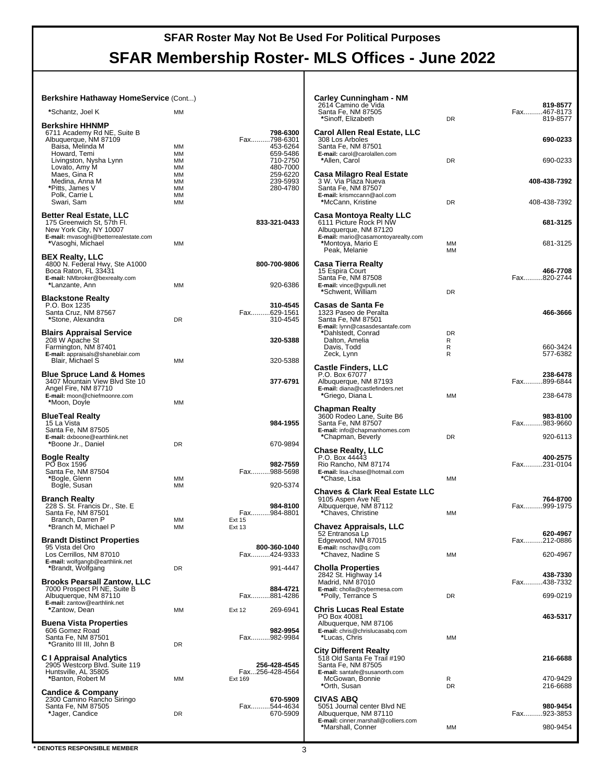| Berkshire Hathaway HomeService (Cont)                                                                                            |                              |                                     | <b>Carley Cunningham - NM</b><br>2614 Camino de Vida                                                               |                     | 819-8577                |
|----------------------------------------------------------------------------------------------------------------------------------|------------------------------|-------------------------------------|--------------------------------------------------------------------------------------------------------------------|---------------------|-------------------------|
| *Schantz, Joel K                                                                                                                 | <b>MM</b>                    |                                     | Santa Fe, NM 87505<br>*Sinoff, Elizabeth                                                                           | <b>DR</b>           | Fax467-8173<br>819-8577 |
| <b>Berkshire HHNMP</b><br>6711 Academy Rd NE, Suite B<br>Albuquerque, NM 87109<br>Baisa, Melinda M                               | МM                           | 798-6300<br>Fax798-6301<br>453-6264 | Carol Allen Real Estate, LLC<br>308 Los Arboles<br>Santa Fe. NM 87501                                              |                     | 690-0233                |
| Howard, Temi<br>Livingston, Nysha Lynn<br>Lovato, Amy M                                                                          | MМ<br><b>MM</b><br><b>MM</b> | 659-5486<br>710-2750<br>480-7000    | E-mail: carol@carolallen.com<br>*Allen, Carol                                                                      | <b>DR</b>           | 690-0233                |
| Maes, Gina R<br>Medina, Anna M<br>*Pitts, James V                                                                                | MМ<br><b>MM</b><br><b>MM</b> | 259-6220<br>239-5993<br>280-4780    | Casa Milagro Real Estate<br>3 W. Via Plaza Nueva<br>Santa Fe, NM 87507                                             |                     | 408-438-7392            |
| Polk, Carrie L<br>Swari, Sam                                                                                                     | MМ<br><b>MM</b>              |                                     | E-mail: krismccann@aol.com<br>*McCann, Kristine                                                                    | <b>DR</b>           | 408-438-7392            |
| <b>Better Real Estate, LLC</b><br>175 Greenwich St, 57th Fl.<br>New York City, NY 10007<br>E-mail: mvasoghi@betterrealestate.com |                              | 833-321-0433                        | Casa Montoya Realty LLC<br>6111 Picture Rock PI NW<br>Albuquerque, NM 87120<br>E-mail: mario@casamontoyarealty.com |                     | 681-3125                |
| *Vasoghi, Michael<br><b>BEX Realty, LLC</b>                                                                                      | <b>MM</b>                    |                                     | *Montoya, Mario E<br>Peak, Melanie                                                                                 | MM<br><b>MM</b>     | 681-3125                |
| 4800 N. Federal Hwy, Ste A1000<br>Boca Raton, FL 33431<br>E-mail: NMbroker@bexrealty.com<br>*Lanzante, Ann                       | <b>MM</b>                    | 800-700-9806<br>920-6386            | Casa Tierra Realty<br>15 Espira Court<br>Santa Fe, NM 87508<br>E-mail: vince@gvpulli.net                           |                     | 466-7708<br>Fax820-2744 |
| <b>Blackstone Realty</b>                                                                                                         |                              |                                     | *Schwent, William                                                                                                  | <b>DR</b>           |                         |
| P.O. Box 1235<br>Santa Cruz, NM 87567<br>*Stone, Alexandra                                                                       | <b>DR</b>                    | 310-4545<br>Fax629-1561<br>310-4545 | Casas de Santa Fe<br>1323 Paseo de Peralta<br>Santa Fe, NM 87501<br>E-mail: lynn@casasdesantafe.com                |                     | 466-3666                |
| <b>Blairs Appraisal Service</b><br>208 W Apache St<br>Farmington, NM 87401                                                       |                              | 320-5388                            | *Dahlstedt, Conrad<br>Dalton, Amelia<br>Davis, Todd                                                                | <b>DR</b><br>R<br>R | 660-3424                |
| E-mail: appraisals@shaneblair.com<br>Blair, Michael S                                                                            | <b>MM</b>                    | 320-5388                            | Zeck, Lynn<br><b>Castle Finders, LLC</b>                                                                           | R                   | 577-6382                |
| <b>Blue Spruce Land &amp; Homes</b><br>3407 Mountain View Blvd Ste 10<br>Angel Fire, NM 87710                                    |                              | 377-6791                            | P.O. Box 67077<br>Albuquerque, NM 87193<br>E-mail: diana@castlefinders.net                                         |                     | 238-6478<br>Fax899-6844 |
| E-mail: moon@chiefmoonre.com<br>*Moon, Doyle                                                                                     | <b>MM</b>                    |                                     | *Griego, Diana L                                                                                                   | <b>MM</b>           | 238-6478                |
| <b>BlueTeal Realty</b><br>15 La Vista<br>Santa Fe, NM 87505                                                                      |                              | 984-1955                            | <b>Chapman Realty</b><br>3600 Rodeo Lane, Suite B6<br>Santa Fe, NM 87507<br>E-mail: info@chapmanhomes.com          |                     | 983-8100<br>Fax983-9660 |
| E-mail: dxboone@earthlink.net<br>*Boone Jr., Daniel                                                                              | <b>DR</b>                    | 670-9894                            | *Chapman, Beverly<br><b>Chase Realty, LLC</b>                                                                      | DR                  | 920-6113                |
| <b>Bogle Realty</b><br>PO Box 1596<br>Santa Fe, NM 87504                                                                         |                              | 982-7559<br>Fax988-5698             | P.O. Box 44443<br>Rio Rancho, NM 87174<br>E-mail: lisa-chase@hotmail.com                                           |                     | 400-2575<br>Fax231-0104 |
| *Bogle, Glenn<br>Bogle, Susan                                                                                                    | MМ<br>MМ                     | 920-5374                            | *Chase, Lisa                                                                                                       | <b>MM</b>           |                         |
| <b>Branch Realty</b><br>228 S. St. Francis Dr., Ste. E<br>Santa Fe, NM 87501                                                     |                              | 984-8100<br>Fax984-8801             | <b>Chaves &amp; Clark Real Estate LLC</b><br>9105 Aspen Ave NE<br>Albuquerque, NM 87112<br>*Chaves, Christine      | MМ                  | 764-8700<br>Fax999-1975 |
| Branch, Darren P<br>*Branch M, Michael P                                                                                         | <b>MM</b><br>МM              | Ext 15<br>Ext 13                    | <b>Chavez Appraisals, LLC</b><br>52 Entranosa Lp                                                                   |                     | 620-4967                |
| <b>Brandt Distinct Properties</b><br>95 Vista del Oro<br>Los Cerrillos, NM 87010<br>E-mail: wolfgangb@earthlink.net              |                              | 800-360-1040<br>Fax424-9333         | Edgewood, NM 87015<br>E-mail: nschav@q.com<br>*Chavez, Nadine S                                                    | MM                  | Fax212-0886<br>620-4967 |
| *Brandt, Wolfgang                                                                                                                | DR                           | 991-4447                            | <b>Cholla Properties</b><br>2842 St. Highway 14                                                                    |                     | 438-7330                |
| <b>Brooks Pearsall Zantow, LLC</b><br>7000 Prospect PI NE, Suite B<br>Albuquerque, NM 87110                                      |                              | 884-4721<br>Fax881-4286             | Madrid, NM 87010<br>E-mail: cholla@cybermesa.com<br>*Polly, Terrance S                                             | DR                  | Fax438-7332<br>699-0219 |
| E-mail: zantow@earthlink.net<br>*Zantow, Dean                                                                                    | <b>MM</b>                    | 269-6941<br><b>Ext 12</b>           | <b>Chris Lucas Real Estate</b><br>PO Box 40081                                                                     |                     | 463-5317                |
| <b>Buena Vista Properties</b><br>606 Gomez Road<br>Santa Fe. NM 87501<br>*Granito III III, John B                                | DR                           | 982-9954<br>Fax982-9984             | Albuquerque, NM 87106<br>E-mail: chris@chrislucasabq.com<br>*Lucas, Chris                                          | MM                  |                         |
| <b>C</b> I Appraisal Analytics<br>2905 Westcorp Blvd. Suite 119<br>Huntsville, AL 35805                                          |                              | 256-428-4545<br>Fax256-428-4564     | <b>City Different Realty</b><br>518 Old Santa Fe Trail #190<br>Santa Fe, NM 87505<br>E-mail: santafe@susanorth.com |                     | 216-6688                |
| *Banton, Robert M                                                                                                                | <b>MM</b>                    | Ext 169                             | McGowan, Bonnie<br>*Orth, Susan                                                                                    | R<br>DR             | 470-9429<br>216-6688    |
| <b>Candice &amp; Company</b><br>2300 Camino Rancho Siringo<br>Santa Fe, NM 87505<br>*Jager, Candice                              | DR                           | 670-5909<br>Fax544-4634<br>670-5909 | <b>CIVAS ABQ</b><br>5051 Journal center Blvd NE<br>Albuquerque, NM 87110<br>E-mail: cinner.marshall@colliers.com   |                     | 980-9454<br>Fax923-3853 |
|                                                                                                                                  |                              |                                     | *Marshall, Conner                                                                                                  | MM                  | 980-9454                |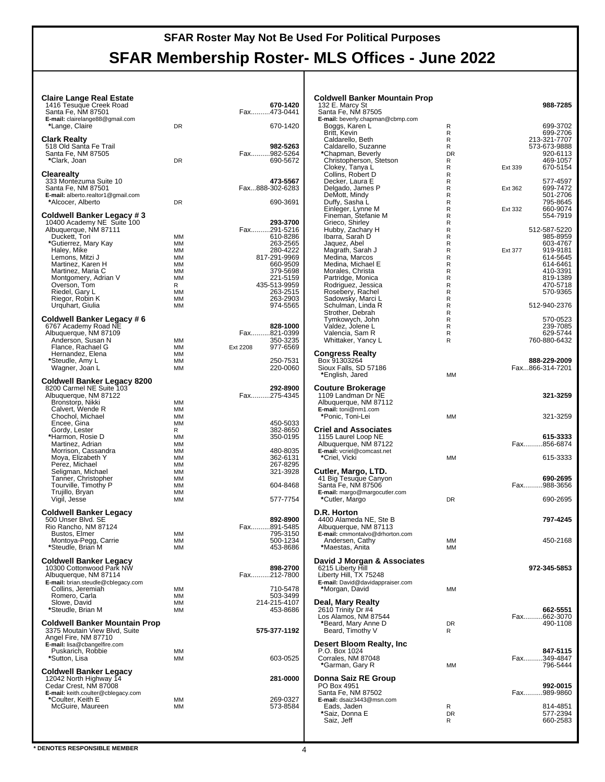## **SFAR Membership Roster- MLS Offices - June 2022**

| <b>Claire Lange Real Estate</b><br>1416 Tesuque Creek Road  |                 | 670-1420                    | <b>Coldwell Banker Mountain Prop</b><br>132 E. Marcy St    |                   | 988-7285                        |
|-------------------------------------------------------------|-----------------|-----------------------------|------------------------------------------------------------|-------------------|---------------------------------|
| Santa Fe, NM 87501                                          |                 | Fax473-0441                 | Santa Fe, NM 87505                                         |                   |                                 |
| E-mail: clairelange88@gmail.com<br>*Lange, Claire           | <b>DR</b>       | 670-1420                    | E-mail: beverly.chapman@cbmp.com<br>Boggs, Karen L         | R                 | 699-3702                        |
|                                                             |                 |                             | Britt, Kevin                                               | R                 | 699-2706                        |
| <b>Clark Realty</b><br>518 Old Santa Fe Trail               |                 | 982-5263                    | Caldarello, Beth<br>Caldarello, Suzanne                    | R<br>R            | 213-321-7707<br>573-673-9888    |
| Santa Fe, NM 87505                                          |                 | Fax982-5264                 | *Chapman, Beverly                                          | <b>DR</b>         | 920-6113                        |
| *Clark, Joan                                                | DR              | 690-5672                    | Christopherson, Stetson<br>Clokey, Tanya L                 | R<br>$\mathsf{R}$ | 469-1057<br>670-5154<br>Ext 339 |
| <b>Clearealty</b>                                           |                 |                             | Collins, Robert D                                          | R                 |                                 |
| 333 Montezuma Suite 10<br>Santa Fe, NM 87501                |                 | 473-5567<br>Fax888-302-6283 | Decker, Laura E<br>Delgado, James P                        | R<br>$\mathsf{R}$ | 577-4597<br>699-7472            |
| E-mail: alberto.realtor1@gmail.com                          |                 |                             | DeMott, Mindy                                              | R                 | Ext 362<br>501-2706             |
| *Alcocer, Alberto                                           | <b>DR</b>       | 690-3691                    | Duffy, Sasha L                                             | R                 | 795-8645                        |
| Coldwell Banker Legacy #3                                   |                 |                             | Einleger, Lynne M<br>Fineman, Stefanie M                   | $\mathsf{R}$<br>R | 660-9074<br>Ext 332<br>554-7919 |
| 10400 Academy NE Suite 100                                  |                 | 293-3700                    | Grieco, Shirley                                            | R                 |                                 |
| Albuquerque, NM 87111<br>Duckett, Tori                      | МM              | Fax291-5216<br>610-8286     | Hubby, Zachary H<br>Ibarra, Sarah D                        | $\mathsf R$<br>R  | 512-587-5220<br>985-8959        |
| *Gutierrez, Mary Kay                                        | МM              | 263-2565                    | Jaquez, Abel                                               | R                 | 603-4767                        |
| Haley, Mike                                                 | <b>MM</b><br>MM | 280-4222<br>817-291-9969    | Magrath, Sarah J<br>Medina, Marcos                         | $\mathsf{R}$<br>R | 919-9181<br>Ext 377<br>614-5645 |
| Lemons, Mitzi J<br>Martinez, Karen H                        | MM              | 660-9509                    | Medina, Michael E                                          | R                 | 614-6461                        |
| Martinez, Maria C                                           | <b>MM</b>       | 379-5698                    | Morales, Christa                                           | $\mathsf R$       | 410-3391                        |
| Montgomery, Adrian V<br>Overson, Tom                        | МM<br>R         | 221-5159<br>435-513-9959    | Partridge, Monica<br>Rodriguez, Jessica                    | R<br>$\mathsf R$  | 819-1389<br>470-5718            |
| Riedel, Gary L                                              | MМ              | 263-2515                    | Rosebery, Rachel                                           | $\mathsf{R}$      | 570-9365                        |
| Riegor, Robin K<br>Urquhart, Giulia                         | MM<br>MM        | 263-2903<br>974-5565        | Sadowsky, Marci L<br>Schulman, Linda R                     | R<br>R            | 512-940-2376                    |
|                                                             |                 |                             | Strother, Debrah                                           | $\mathsf{R}$      |                                 |
| Coldwell Banker Legacy # 6                                  |                 |                             | Tymkowych, John                                            | R                 | 570-0523                        |
| 6767 Academy Road NE<br>Albuquerque, NM 87109               |                 | 828-1000<br>Fax821-0399     | Valdez, Jolene L<br>Valencia, Sam R                        | R<br>R            | 239-7085<br>629-5744            |
| Anderson, Susan N                                           | ΜМ              | 350-3235                    | Whittaker, Yancy L                                         | R                 | 760-880-6432                    |
| Flance, Rachael G<br>Hernandez, Elena                       | МM<br><b>MM</b> | Ext 2208<br>977-6569        | <b>Congress Realty</b>                                     |                   |                                 |
| *Steudle, Amy L                                             | MМ              | 250-7531                    | Box 91303264                                               |                   | 888-229-2009                    |
| Wagner, Joan L                                              | МM              | 220-0060                    | Sioux Falls, SD 57186<br>*English, Jared                   | <b>MM</b>         | Fax866-314-7201                 |
| <b>Coldwell Banker Legacy 8200</b>                          |                 |                             |                                                            |                   |                                 |
| 8200 Carmel NE Suite 103                                    |                 | 292-8900<br>Fax275-4345     | <b>Couture Brokerage</b>                                   |                   |                                 |
| Albuquerque, NM 87122<br>Bronstorp, Nikki                   | ΜМ              |                             | 1109 Landman Dr NE<br>Albuquerque, NM 87112                |                   | 321-3259                        |
| Calvert, Wende R                                            | МM              |                             | E-mail: toni@nm1.com                                       |                   |                                 |
| Chochol, Michael<br>Encee, Gina                             | <b>MM</b><br>MM | 450-5033                    | *Ponic, Toni-Lei                                           | <b>MM</b>         | 321-3259                        |
| Gordy, Lester                                               | R               | 382-8650                    | <b>Criel and Associates</b>                                |                   |                                 |
| *Harmon, Rosie D<br>Martinez, Adrian                        | MМ<br>ΜМ        | 350-0195                    | 1155 Laurel Loop NE<br>Albuquerque, NM 87122               |                   | 615-3333<br>Fax856-6874         |
| Morrison, Cassandra                                         | ΜМ              | 480-8035                    | E-mail: vcriel@comcast.net                                 |                   |                                 |
| Moya, Elizabeth Y<br>Perez, Michael                         | MМ<br>МM        | 362-6131<br>267-8295        | *Criel, Vicki                                              | <b>MM</b>         | 615-3333                        |
| Seligman, Michael                                           | МM              | 321-3928                    | Cutler, Margo, LTD.                                        |                   |                                 |
| Tanner, Christopher                                         | <b>MM</b>       |                             | 41 Big Tesugue Canyon                                      |                   | 690-2695                        |
| Tourville, Timothy P<br>Trujillo, Bryan                     | MM<br>MM        | 604-8468                    | Santa Fe, NM 87506<br>E-mail: margo@margocutler.com        |                   | Fax988-3656                     |
| Vigil, Jesse                                                | <b>MM</b>       | 577-7754                    | *Cutler, Margo                                             | <b>DR</b>         | 690-2695                        |
| <b>Coldwell Banker Legacy</b>                               |                 |                             | D.R. Horton                                                |                   |                                 |
| 500 Unser Blvd. SE                                          |                 | 892-8900                    | 4400 Alameda NE, Ste B                                     |                   | 797-4245                        |
| Rio Rancho, NM 87124<br>Bustos, Elmer                       | МM              | Fax891-5485<br>795-3150     | Albuquerque, NM 87113<br>E-mail: cmmontalvo@drhorton.com   |                   |                                 |
| Montoya-Pegg, Carrie                                        | МM              | 500-1234                    | Andersen, Cathy                                            | MМ                | 450-2168                        |
| *Steudle, Brian M                                           | MM              | 453-8686                    | *Maestas, Anita                                            | MM                |                                 |
| <b>Coldwell Banker Legacy</b>                               |                 |                             | David J Morgan & Associates                                |                   |                                 |
| 10300 Cottonwood Park NW                                    |                 | 898-2700                    | 6215 Liberty Hill                                          |                   | 972-345-5853                    |
| Albuquerque, NM 87114<br>E-mail: brian.steudle@cblegacy.com |                 | Fax212-7800                 | Liberty Hill, TX 75248<br>E-mail: David@davidappraiser.com |                   |                                 |
| Collins, Jeremiah                                           | ΜМ              | 710-5478                    | *Morgan, David                                             | MM                |                                 |
| Romero, Carla<br>Slowe, David                               | МM<br>MМ        | 503-3499<br>214-215-4107    | Deal, Mary Realty                                          |                   |                                 |
| *Steudle, Brian M                                           | МM              | 453-8686                    | 2610 Trinity Dr #4                                         |                   | 662-5551                        |
| <b>Coldwell Banker Mountain Prop</b>                        |                 |                             | Los Alamos, NM 87544<br>*Beard, Mary Anne D                | <b>DR</b>         | Fax662-3070<br>490-1108         |
| 3375 Moutain View Blvd, Suite                               |                 | 575-377-1192                | Beard, Timothy V                                           | R                 |                                 |
| Angel Fire, NM 87710<br>E-mail: lisa@cbangelfire.com        |                 |                             | Desert Bloom Realty, Inc                                   |                   |                                 |
| Puskarich, Robbie                                           | МM              |                             | P.O. Box 1024                                              |                   | 847-5115                        |
| *Sutton, Lisa                                               | МM              | 603-0525                    | Corrales, NM 87048                                         |                   | Fax349-4847                     |
| <b>Coldwell Banker Legacy</b>                               |                 |                             | *Garman, Gary R                                            | MM                | 796-5444                        |
| 12042 North Highway 14                                      |                 | 281-0000                    | Donna Saiz RE Group                                        |                   |                                 |
| Cedar Crest, NM 87008<br>E-mail: keith.coulter@cblegacy.com |                 |                             | PO Box 4951<br>Santa Fe, NM 87502                          |                   | 992-0015<br>Fax989-9860         |
| *Coulter, Keith E                                           | ΜМ              | 269-0327                    | E-mail: dsaiz3443@msn.com                                  |                   |                                 |
| McGuire, Maureen                                            | MМ              | 573-8584                    | Eads, Jaden<br>*Saiz, Donna E                              | R<br><b>DR</b>    | 814-4851<br>577-2394            |
|                                                             |                 |                             | Saiz, Jeff                                                 | R                 | 660-2583                        |
|                                                             |                 |                             |                                                            |                   |                                 |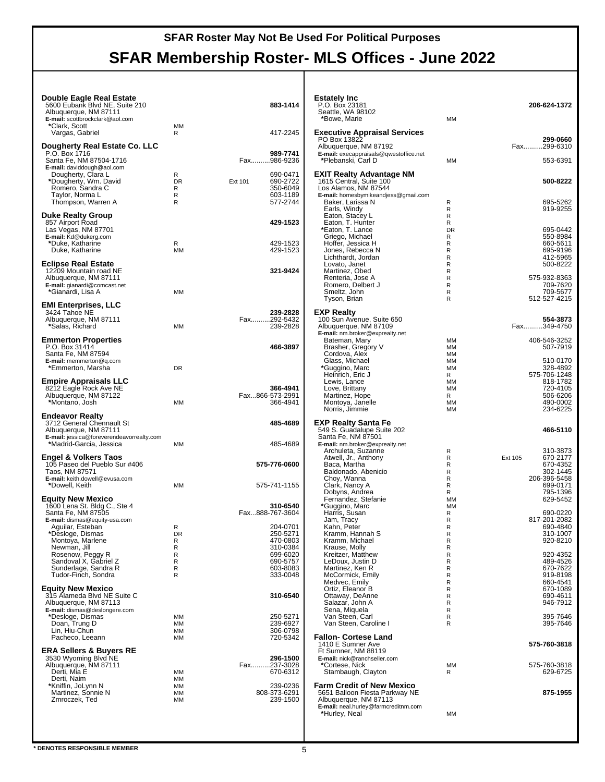## **SFAR Roster May Not Be Used For Political Purposes SFAR Membership Roster- MLS Offices - June 2022**

| Double Eagle Real Estate<br>5600 Eubank Blvd NE, Suite 210<br>Albuquerque, NM 87111<br>E-mail: scottbrockclark@aol.com<br>*Clark, Scott | <b>MM</b>             | 883-1414<br>417-2245                        | <b>Estately Inc</b><br>P.O. Box 23181<br>Seattle, WA 98102<br>*Bowe, Marie            | MM                                               | 206-624-1372                                 |
|-----------------------------------------------------------------------------------------------------------------------------------------|-----------------------|---------------------------------------------|---------------------------------------------------------------------------------------|--------------------------------------------------|----------------------------------------------|
| Vargas, Gabriel                                                                                                                         | R                     |                                             | <b>Executive Appraisal Services</b><br>PO Box 13822                                   |                                                  | 299-0660                                     |
| Dougherty Real Estate Co. LLC<br>P.O. Box 1716<br>Santa Fe, NM 87504-1716                                                               |                       | 989-7741<br>Fax986-9236                     | Albuquerque, NM 87192<br>E-mail: execappraisals@qwestoffice.net<br>*Plebanski, Carl D | MM                                               | Fax299-6310<br>553-6391                      |
| E-mail: daviddough@aol.com<br>Dougherty, Clara L<br>*Dougherty, Wm. David<br>Romero, Sandra C                                           | R<br><b>DR</b><br>R   | 690-0471<br>690-2722<br>Ext 101<br>350-6049 | EXIT Realty Advantage NM<br>1615 Central, Suite 100<br>Los Alamos, NM 87544           |                                                  | 500-8222                                     |
| Taylor, Norma L<br>Thompson, Warren A                                                                                                   | R<br>R                | 603-1189<br>577-2744                        | E-mail: homesbymikeandjess@gmail.com<br>Baker, Larissa N                              | R                                                | 695-5262                                     |
| <b>Duke Realty Group</b><br>857 Airport Road<br>Las Vegas, NM 87701                                                                     |                       | 429-1523                                    | Earls, Windy<br>Eaton, Stacey L<br>Eaton, T. Hunter<br>*Eaton, T. Lance               | R<br>$\mathsf{R}$<br>R<br><b>DR</b>              | 919-9255<br>695-0442                         |
| E-mail: Kd@dukerg.com<br>*Duke, Katharine<br>Duke, Katharine                                                                            | R<br><b>MM</b>        | 429-1523<br>429-1523                        | Griego, Michael<br>Hoffer, Jessica H<br>Jones, Rebecca N                              | R<br>R<br>R                                      | 550-8984<br>660-5611<br>695-9196             |
| <b>Eclipse Real Estate</b><br>12209 Mountain road NE<br>Albuquerque, NM 87111                                                           |                       | 321-9424                                    | Lichthardt, Jordan<br>Lovato, Janet<br>Martinez, Obed<br>Renteria, Jose A             | R<br>$\mathsf{R}$<br>$\mathsf R$<br>$\mathsf{R}$ | 412-5965<br>500-8222<br>575-932-8363         |
| E-mail: gianardi@comcast.net<br>*Gianardi, Lisa A                                                                                       | <b>MM</b>             |                                             | Romero, Delbert J<br>Smeltz, John<br>Tyson, Brian                                     | R<br>R<br>R                                      | 709-7620<br>709-5677<br>512-527-4215         |
| <b>EMI Enterprises, LLC</b><br>3424 Tahoe NE<br>Albuquerque, NM 87111                                                                   |                       | 239-2828<br>Fax292-5432                     | <b>EXP Realty</b><br>100 Sun Avenue, Suite 650                                        |                                                  | 554-3873                                     |
| *Salas, Richard<br><b>Emmerton Properties</b>                                                                                           | MM                    | 239-2828                                    | Albuquerque, NM 87109<br>E-mail: nm.broker@exprealty.net<br>Bateman, Mary             | MM                                               | Fax349-4750<br>406-546-3252                  |
| P.O. Box 31414<br>Santa Fe, NM 87594<br>E-mail: memmerton@q.com                                                                         |                       | 466-3897                                    | Brasher, Gregory V<br>Cordova, Alex<br>Glass, Michael                                 | <b>MM</b><br>MМ<br>MM                            | 507-7919<br>510-0170                         |
| *Emmerton, Marsha                                                                                                                       | DR                    |                                             | *Guggino, Marc<br>Heinrich, Eric J                                                    | <b>MM</b><br>R                                   | 328-4892<br>575-706-1248                     |
| <b>Empire Appraisals LLC</b><br>8212 Eagle Rock Ave NE<br>Albuquerque, NM 87122<br>*Montano, Josh                                       | MM                    | 366-4941<br>Fax866-573-2991<br>366-4941     | Lewis, Lance<br>Love, Brittany<br>Martinez, Hope<br>Montoya, Janelle                  | ΜМ<br><b>MM</b><br>R<br><b>MM</b>                | 818-1782<br>720-4105<br>506-6206<br>490-0002 |
| <b>Endeavor Realty</b>                                                                                                                  |                       |                                             | Norris, Jimmie                                                                        | MM                                               | 234-6225                                     |
| 3712 General Chennault St<br>Albuquerque, NM 87111<br>E-mail: jessica@foreverendeavorrealty.com                                         |                       | 485-4689                                    | <b>EXP Realty Santa Fe</b><br>549 S. Guadalupe Suite 202<br>Santa Fe, NM 87501        |                                                  | 466-5110                                     |
| *Madrid-Garcia, Jessica<br><b>Engel &amp; Volkers Taos</b>                                                                              | MM                    | 485-4689                                    | E-mail: nm.broker@exprealty.net<br>Archuleta, Suzanne<br>Atwell, Jr., Anthony         | R<br>R                                           | 310-3873<br>670-2177<br>Ext 105              |
| 105 Paseo del Pueblo Sur #406<br>Taos, NM 87571<br>E-mail: keith.dowell@evusa.com                                                       |                       | 575-776-0600                                | Baca, Martha<br>Baldonado, Abenicio<br>Choy, Wanna                                    | R<br>R<br>R                                      | 670-4352<br>302-1445<br>206-396-5458         |
| *Dowell, Keith<br><b>Equity New Mexico</b>                                                                                              | MM                    | 575-741-1155                                | Clark, Nancy A<br>Dobyns, Andrea<br>Fernandez, Stefanie                               | R<br>R<br><b>MM</b>                              | 699-0171<br>795-1396<br>629-5452             |
| 1600 Lena St. Bldg C., Ste 4<br>Santa Fe, NM 87505<br>E-mail: dismas@equity-usa.com                                                     |                       | 310-6540<br>Fax888-767-3604                 | *Guggino, Marc<br>Harris, Susan<br>Jam, Tracy                                         | <b>MM</b><br>R<br>R                              | 690-0220<br>817-201-2082                     |
| Aguilar, Esteban<br>*Desloge, Dismas                                                                                                    | $\mathsf R$<br>DR     | 204-0701<br>250-5271                        | Kahn, Peter<br>Kramm, Hannah S                                                        | R<br>R                                           | 690-4840<br>310-1007                         |
| Montoya, Marlene<br>Newman, Jill<br>Rosenow, Peggy R                                                                                    | R<br>R<br>R           | 470-0803<br>310-0384<br>699-6020            | Kramm, Michael<br>Krause, Molly<br>Kreitzer, Matthew                                  | R<br>R<br>R                                      | 920-8210<br>920-4352                         |
| Sandoval X, Gabriel Z<br>Sunderlage, Sandra R<br>Tudor-Finch, Sondra                                                                    | R<br>R<br>R           | 690-5757<br>603-8083<br>333-0048            | LeDoux, Justin D<br>Martinez, Ken R<br>McCormick, Emily                               | R<br>R<br>R                                      | 489-4526<br>670-7622<br>919-8198             |
| <b>Equity New Mexico</b>                                                                                                                |                       |                                             | Medvec, Emily<br>Ortiz, Eleanor B                                                     | R<br>R                                           | 660-4541<br>670-1089                         |
| 315 Alameda Blvd NE Suite C<br>Albuquerque, NM 87113<br>E-mail: dismas@deslongere.com                                                   |                       | 310-6540                                    | Ottaway, DeAnne<br>Salazar, John A<br>Sena, Miquela                                   | R<br>R<br>R                                      | 690-4611<br>946-7912                         |
| *Desloge, Dismas<br>Doan, Trung D<br>Lin, Hiu-Chun                                                                                      | MМ<br><b>MM</b><br>МM | 250-5271<br>239-6927<br>306-0798            | Van Steen, Carl<br>Van Steen, Caroline I                                              | R<br>R                                           | 395-7646<br>395-7646                         |
| Pacheco, Leeann<br><b>ERA Sellers &amp; Buyers RE</b>                                                                                   | MM                    | 720-5342                                    | <b>Fallon- Cortese Land</b><br>1410 E Sumner Ave<br>Ft Sumner, NM 88119               |                                                  | 575-760-3818                                 |
| 3530 Wyoming Blvd NE<br>Albuquerque, NM 87111<br>Derti, Mia E                                                                           | MM                    | 296-1500<br>Fax237-3028<br>670-6312         | E-mail: nick@ranchseller.com<br>*Cortese, Nick<br>Stambaugh, Clayton                  | MM<br>R                                          | 575-760-3818<br>629-6725                     |
| Derti, Naim<br>*Kniffin, JoLynn N<br>Martinez, Sonnie N                                                                                 | MM<br>MM<br>МM        | 239-0236<br>808-373-6291                    | <b>Farm Credit of New Mexico</b><br>5651 Balloon Fiesta Parkway NE                    |                                                  | 875-1955                                     |
| Zmroczek, Ted                                                                                                                           | МM                    | 239-1500                                    | Albuquerque, NM 87113<br>E-mail: neal.hurley@farmcreditnm.com<br>*Hurley, Neal        | MМ                                               |                                              |
|                                                                                                                                         |                       |                                             |                                                                                       |                                                  |                                              |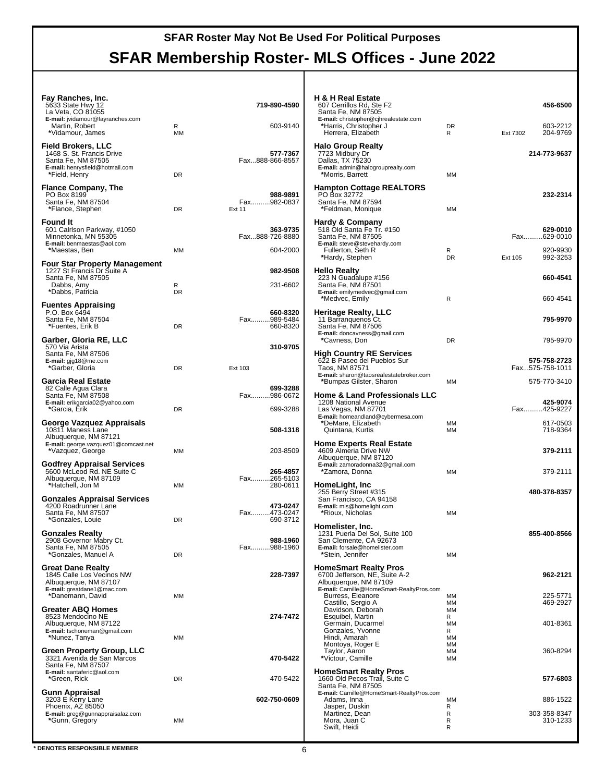| Fay Ranches, Inc.<br>5633 State Hwy 12<br>La Veta, CO 81055                                                                      |                | 719-890-4590                            | H & H Real Estate<br>607 Cerrillos Rd, Ste F2<br>Santa Fe, NM 87505                                                                |                                  | 456-6500                                |
|----------------------------------------------------------------------------------------------------------------------------------|----------------|-----------------------------------------|------------------------------------------------------------------------------------------------------------------------------------|----------------------------------|-----------------------------------------|
| E-mail: jvidamour@fayranches.com<br>Martin, Robert<br>*Vidamour, James                                                           | R<br><b>MM</b> | 603-9140                                | E-mail: christopher@cjhrealestate.com<br>*Harris, Christopher J<br>Herrera, Elizabeth                                              | DR<br>R                          | 603-2212<br>204-9769<br>Ext 7302        |
| <b>Field Brokers, LLC</b><br>1468 S. St. Francis Drive<br>Santa Fe, NM 87505<br>E-mail: henrysfield@hotmail.com<br>*Field, Henry | DR             | 577-7367<br>Fax888-866-8557             | <b>Halo Group Realty</b><br>7723 Midbury Dr<br>Dallas, TX 75230<br>E-mail: admin@halogrouprealty.com<br>*Morris, Barrett           | <b>MM</b>                        | 214-773-9637                            |
| <b>Flance Company, The</b><br>PO Box 8199<br>Santa Fe, NM 87504<br>*Flance, Stephen                                              | DR             | 988-9891<br>Fax982-0837<br>Ext 11       | <b>Hampton Cottage REALTORS®</b><br>PO Box 32772<br>Santa Fe. NM 87594<br>*Feldman, Monique                                        | <b>MM</b>                        | 232-2314                                |
| <b>Found It</b><br>601 Calrlson Parkway, #1050<br>Minnetonka, MN 55305<br>E-mail: benmaestas@aol.com<br>*Maestas, Ben            | MM             | 363-9735<br>Fax888-726-8880<br>604-2000 | <b>Hardy &amp; Company</b><br>518 Old Santa Fe Tr. #150<br>Santa Fe, NM 87505<br>E-mail: steve@stevehardy.com<br>Fullerton, Seth R | R                                | 629-0010<br>Fax629-0010<br>920-9930     |
| <b>Four Star Property Management</b>                                                                                             |                |                                         | *Hardy, Stephen                                                                                                                    | <b>DR</b>                        | 992-3253<br>Ext 105                     |
| 1227 St Francis Dr Suite A<br>Santa Fe, NM 87505<br>Dabbs, Amy<br>*Dabbs, Patricia                                               | R<br><b>DR</b> | 982-9508<br>231-6602                    | <b>Hello Realty</b><br>223 N Guadalupe #156<br>Santa Fe, NM 87501<br>E-mail: emilymedvec@gmail.com                                 |                                  | 660-4541                                |
| <b>Fuentes Appraising</b>                                                                                                        |                |                                         | *Medvec, Emily                                                                                                                     | ${\sf R}$                        | 660-4541                                |
| P.O. Box 6494<br>Santa Fe, NM 87504<br>*Fuentes, Erik B                                                                          | DR             | 660-8320<br>Fax989-5484<br>660-8320     | Heritage Realty, LLC<br>11 Barranquenos Ct.<br>Santa Fe, NM 87506<br>E-mail: doncavness@gmail.com                                  |                                  | 795-9970                                |
| Garber, Gloria RE, LLC                                                                                                           |                |                                         | *Cavness, Don                                                                                                                      | <b>DR</b>                        | 795-9970                                |
| 570 Via Arista<br>Santa Fe, NM 87506<br>E-mail: gjg18@me.com<br>*Garber, Gloria                                                  | <b>DR</b>      | 310-9705<br>Ext 103                     | High Country RE Services<br>622 B Paseo del Pueblos Sur<br>Taos, NM 87571                                                          |                                  | 575-758-2723<br>Fax575-758-1011         |
| <b>Garcia Real Estate</b>                                                                                                        |                |                                         | E-mail: sharon@taosrealestatebroker.com                                                                                            |                                  |                                         |
| 82 Calle Agua Clara<br>Santa Fe, NM 87508<br>E-mail: erikgarcia02@yahoo.com<br>*Garcia, Erik                                     | <b>DR</b>      | 699-3288<br>Fax986-0672<br>699-3288     | *Bumpas Gilster, Sharon<br><b>Home &amp; Land Professionals LLC</b><br>1208 National Avenue<br>Las Vegas, NM 87701                 | <b>MM</b>                        | 575-770-3410<br>425-9074<br>Fax425-9227 |
| George Vazquez Appraisals<br>10811 Maness Lane                                                                                   |                | 508-1318                                | E-mail: homeandland@cybermesa.com<br>*DeMare, Elizabeth<br>Quintana, Kurtis                                                        | MМ<br><b>MM</b>                  | 617-0503<br>718-9364                    |
| Albuquerque, NM 87121<br>E-mail: george.vazquez01@comcast.net<br>*Vazquez, George                                                | MM             | 203-8509                                | <b>Home Experts Real Estate</b><br>4609 Almeria Drive NW<br>Albuquerque, NM 87120                                                  |                                  | 379-2111                                |
| <b>Godfrey Appraisal Services</b><br>5600 McLeod Rd. NE Suite C<br>Albuquerque, NM 87109                                         |                | 265-4857<br>Fax265-5103                 | E-mail: zamoradonna32@gmail.com<br>*Zamora, Donna                                                                                  | <b>MM</b>                        | 379-2111                                |
| *Hatchell, Jon M                                                                                                                 | <b>MM</b>      | 280-0611                                | HomeLight, Inc<br>255 Berry Street #315                                                                                            |                                  | 480-378-8357                            |
| <b>Gonzales Appraisal Services</b><br>4200 Roadrunner Lane<br>Santa Fe, NM 87507<br>*Gonzales, Louie                             | DR             | 473-0247<br>Fax473-0247<br>690-3712     | San Francisco, CA 94158<br>E-mail: mls@homelight.com<br>*Rioux, Nicholas                                                           | MМ                               |                                         |
| <b>Gonzales Realty</b><br>2908 Governor Mabry Ct.<br>Santa Fe, NM 87505                                                          |                | 988-1960<br>Fax988-1960                 | Homelister, Inc.<br>1231 Puerla Del Sol, Suite 100<br>San Clemente, CA 92673<br>E-mail: forsale@homelister.com                     |                                  | 855-400-8566                            |
| *Gonzales, Manuel A                                                                                                              | DR             |                                         | *Stein, Jennifer                                                                                                                   | <b>MM</b>                        |                                         |
| <b>Great Dane Realty</b><br>1845 Calle Los Vecinos NW<br>Albuquerque, NM 87107<br>E-mail: greatdane1@mac.com                     |                | 228-7397                                | <b>HomeSmart Realty Pros</b><br>6700 Jefferson, NE, Suite A-2<br>Albuquerque, NM 87109<br>E-mail: Camille@HomeSmart-RealtyPros.com |                                  | 962-2121                                |
| *Danemann, David<br><b>Greater ABQ Homes</b>                                                                                     | MM             |                                         | Burress, Eleanore<br>Castillo, Sergio A<br>Davidson, Deborah                                                                       | ΜМ<br>MM<br><b>MM</b>            | 225-5771<br>469-2927                    |
| 8523 Mendocino NE<br>Albuquerque, NM 87122<br>E-mail: tschoneman@gmail.com<br>*Nunez, Tanya                                      | MM             | 274-7472                                | Esquibel, Martin<br>Germain, Ducarmel<br>Gonzales, Yvonne<br>Hindi, Amarah                                                         | R<br><b>MM</b><br>R<br><b>MM</b> | 401-8361                                |
| Green Property Group, LLC<br>3321 Avenida de San Marcos<br>Santa Fe, NM 87507                                                    |                | 470-5422                                | Montoya, Roger E<br>Taylor, Aaron<br>*Victour, Camille                                                                             | <b>MM</b><br>MМ<br>MМ            | 360-8294                                |
| E-mail: santaferic@aol.com<br>*Green, Rick                                                                                       | DR             | 470-5422                                | <b>HomeSmart Realty Pros</b><br>1660 Old Pecos Trail, Suite C<br>Santa Fe, NM 87505                                                |                                  | 577-6803                                |
| <b>Gunn Appraisal</b><br>3203 E Kerry Lane                                                                                       |                | 602-750-0609                            | E-mail: Camille@HomeSmart-RealtyPros.com<br>Adams, Inna                                                                            | MМ                               | 886-1522                                |
| Phoenix, AZ 85050<br>E-mail: greg@gunnappraisalaz.com<br>*Gunn, Gregory                                                          | МM             |                                         | Jasper, Duskin<br>Martinez, Dean<br>Mora, Juan C<br>Swift, Heidi                                                                   | R<br>R<br>R<br>R                 | 303-358-8347<br>310-1233                |
|                                                                                                                                  |                |                                         |                                                                                                                                    |                                  |                                         |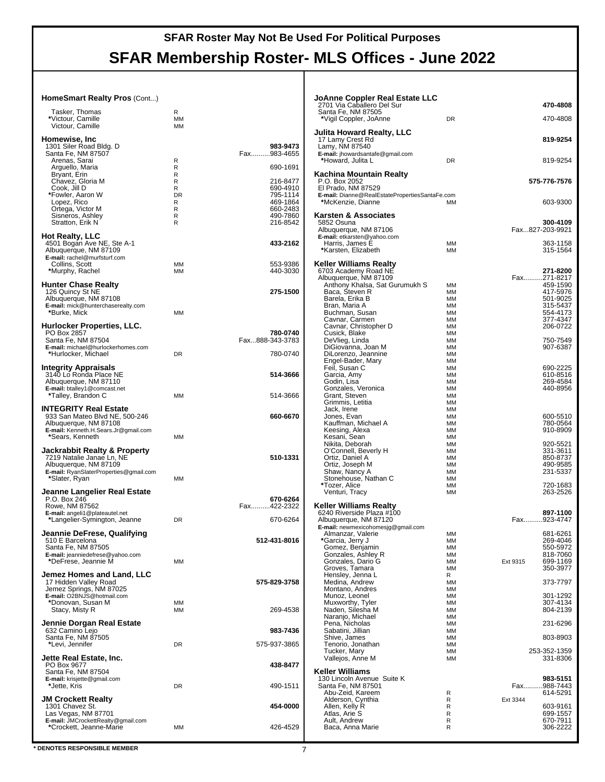# **SFAR Membership Roster- MLS Offices - June 2022**

#### **HomeSmart Realty Pros** (Cont...)

| Tasker, Thomas<br>*Victour, Camille<br>Victour, Camille                                                                                              | R<br>МM<br>ΜМ                                |                                                                                  |
|------------------------------------------------------------------------------------------------------------------------------------------------------|----------------------------------------------|----------------------------------------------------------------------------------|
| Homewise, Inc<br>1301 Siler Road Bldg. D<br>Santa Fe, NM 87507                                                                                       |                                              | 983-9473<br>Fax983-4655                                                          |
| Arenas, Sarai<br>Arguello, Maria                                                                                                                     | R<br>R                                       | 690-1691                                                                         |
| Bryant, Erin<br>Chavez, Gloria M<br>Cook, Jill D<br>*Fowler, Aaron W<br>Lopez, Rico<br>Ortega, Victor M<br>Sisneros, Ashley<br>Stratton, Erik N      | R<br>R<br>R<br><b>DR</b><br>R<br>R<br>R<br>R | 216-8477<br>690-4910<br>795-1114<br>469-1864<br>660-2483<br>490-7860<br>216-8542 |
| Hot Realty, LLC<br>4501 Bogan Ave NE, Ste A-1<br>Albuquerque, NM 87109<br>E-mail: rachel@murfsturf.com                                               |                                              | 433-2162                                                                         |
| Collins, Scott<br>*Murphy, Rachel                                                                                                                    | MМ<br>ΜМ                                     | 553-9386<br>440-3030                                                             |
| <b>Hunter Chase Realty</b><br>126 Quincy St NE<br>Albuquerque, NM 87108<br><b>E-mail:</b> mick@hunterchaserealty.com<br>*Burke, Mick                 | ΜМ                                           | 275-1500                                                                         |
| Hurlocker Properties, LLC.<br>PO Box 2857<br>Santa Fe, NM 87504                                                                                      |                                              | 780-0740<br>Fax888-343-3783                                                      |
| E-mail: michael@hurlockerhomes.com<br>*Hurlocker, Michael                                                                                            | DR                                           | 780-0740                                                                         |
| <b>Integrity Appraisals</b><br>3140 Lo Ronda Place NE<br>Albuquerque, NM 87110                                                                       |                                              | 514-3666                                                                         |
| E-mail: btalley1@comcast.net<br>*Talley, Brandon C                                                                                                   | ΜМ                                           | 514-3666                                                                         |
| INTEGRITY Real Estate<br>933 San Mateo Blvd NE, 500-246<br>Albuquerque, NM 87108<br>E-mail: Kenneth.H.Sears.Jr@gmail.com                             |                                              | 660-6670                                                                         |
| *Sears, Kenneth                                                                                                                                      | MМ                                           |                                                                                  |
| Jackrabbit Realty & Property<br>7219 Natalie Janae Ln, NE<br>Albuquerque, NM 87109<br><b>E-mail:</b> RyanSlaterProperties@gmail.com<br>*Slater, Ryan | MM                                           | 510-1331                                                                         |
| Jeanne Langelier Real Estate                                                                                                                         |                                              |                                                                                  |
| P.O. Box 246<br>Rowe, NM 87562<br><b>E-mail:</b> angeli1@plateautel.net                                                                              |                                              | 670-6264<br>Fax422-2322                                                          |
| *Langelier-Symington, Jeanne                                                                                                                         | DR                                           | 670-6264                                                                         |
| Jeannie DeFrese, Qualifying<br>510 E Barcelona<br>Santa Fe, NM 87505<br>E-mail: jeanniedefrese@yahoo.com                                             |                                              | 512-431-8016                                                                     |
| *DeFrese. Jeannie M                                                                                                                                  | MM                                           |                                                                                  |
| Jemez Homes and Land, LLC<br>17 Hidden Valley Road<br>Jemez Springs, NM 87025<br>E-mail: O2BNJS@hotmail.com                                          |                                              | 575-829-3758                                                                     |
| *Donovan, Susan M<br>Stacy, Misty R                                                                                                                  | МM<br>МM                                     | 269-4538                                                                         |
| Jennie Dorgan Real Estate<br>632 Camino Lejo                                                                                                         |                                              | 983-7436                                                                         |
| Santa Fe, NM 87505<br>*Levi, Jennifer                                                                                                                | DR                                           | 575-937-3865                                                                     |
| Jette Real Estate, Inc.<br>PO Box 9677<br>Santa Fe, NM 87504<br>E-mail: krisjette@gmail.com                                                          |                                              | 438-8477                                                                         |
| *Jette, Kris                                                                                                                                         | DR                                           | 490-1511                                                                         |
| <b>JM Crockett Realty</b><br>1301 Chavez St.<br>Las Vegas, NM 87701                                                                                  |                                              | 454-0000                                                                         |
| E-mail: JMCrockettRealty@gmail.com<br>*Crockett, Jeanne-Marie                                                                                        | ΜМ                                           | 426-4529                                                                         |

| JoAnne Coppler Real Estate LLC<br>2701 Via Caballero Del Sur |          | 470-4808                         |
|--------------------------------------------------------------|----------|----------------------------------|
| Santa Fe, NM 87505<br>*Vigil Coppler, JoAnne                 | DR       | 470-4808                         |
|                                                              |          |                                  |
| Julita Howard Realty, LLC<br>17 Lamy Crest Rd                |          | 819-9254                         |
| Lamy, NM 87540<br>E-mail: jhowardsantafe@gmail.com           |          |                                  |
| *Howard, Julita L                                            | DR       | 819-9254                         |
| Kachina Mountain Realty                                      |          |                                  |
| P.O. Box 2052<br>El Prado, NM 87529                          |          | 575-776-7576                     |
| E-mail: Dianne@RealEstatePropertiesSantaFe.com               |          |                                  |
| *McKenzie, Dianne                                            | ΜМ       | 603-9300                         |
| Karsten & Associates<br>5852 Osuna                           |          | 300-4109                         |
| Albuquerque, NM 87106                                        |          | Fax827-203-9921                  |
| E-mail: etkarsten@yahoo.com<br>Harris, James E               | ΜМ       | 363-1158                         |
| *Karsten, Elizabeth                                          | МM       | 315-1564                         |
| Keller Williams Realty                                       |          |                                  |
| 6703 Academy Road NE<br>Albuquerque, NM 87109                |          | 271-8200<br>Fax271-8217          |
| Anthony Khalsa, Sat Gurumukh S                               | МM       | 459-1590                         |
| Baca, Steven R<br>Barela, Erika B                            | МM<br>МM | 417-5976<br>501-9025             |
| Bran, Maria A                                                | MМ       | 315-5437                         |
| Buchman, Susan<br>Cavnar, Carmen                             | МM<br>MМ | 554-4173<br>377-4347             |
| Cavnar, Christopher D                                        | MМ       | 206-0722                         |
| Cusick, Blake                                                | МM       |                                  |
| DeVlieg, Linda<br>DiGiovanna, Joan M                         | МM<br>MМ | 750-7549<br>907-6387             |
| DiLorenzo, Jeannine                                          | MМ       |                                  |
| Engel-Bader, Mary<br>Feil, Susan C                           | MМ<br>MМ | 690-2225                         |
| Garcia, Amy                                                  | MМ       | 610-8516                         |
| Godin, Lisa                                                  | MМ<br>MМ | 269-4584<br>440-8956             |
| Gonzales, Veronica<br>Grant, Steven                          | MМ       |                                  |
| Grimmis, Letitia                                             | MМ       |                                  |
| Jack, Irene<br>Jones, Evan                                   | MМ<br>MМ | 600-5510                         |
| Kauffman, Michael A                                          | МM       | 780-0564                         |
| Keesing, Alexa<br>Kesani <sub>, Sean</sub>                   | MМ<br>MМ | 910-8909                         |
| Nikita, Deborah                                              | MМ       | 920-5521                         |
| O'Connell, Beverly H                                         | MМ       | 331-3611                         |
| Ortiz, Daniel A<br>Ortiz, Joseph M                           | MМ<br>МM | 850-8737<br>490-9585             |
| Shaw, Nancy A                                                | MМ       | 231-5337                         |
| Stonehouse, Nathan C<br>*Tozer, Alice                        | MМ<br>MМ | 720-1683                         |
| Venturi, Tracy                                               | MМ       | 263-2526                         |
| Keller Williams Realty                                       |          |                                  |
| 6240 Riverside Plaza #100<br>Albuquerque, NM 87120           |          | 897-1100<br>Fax923-4747          |
| E-mail: newmexicohomesjg@gmail.com                           |          |                                  |
| Almanzar, Valerie                                            | МM       | 681-6261                         |
| *Garcia, Jerry J<br>Gomez, Benjamin                          | МM<br>МM | 269-4046<br>550-5972             |
| Gonzales, Ashley R                                           | ΜМ       | 818-7060                         |
| Gonzales, Dario G<br>Groves, Tamara                          | MМ<br>ΜМ | 699-1169<br>Ext 9315<br>350-3977 |
| Hensley, Jenna L                                             | R        |                                  |
| Medina, Andrew<br>Montano, Andres                            | MМ<br>MМ | 373-7797                         |
| Munoz, Leonel                                                | ΜМ       | 301-1292                         |
| Muxworthy, Tyler                                             | MM       | 307-4134                         |
| Naden, Silesha M<br>Naranjo, Michael                         | ΜМ<br>MM | 804-2139                         |
| Pena, Nicholas                                               | MМ       | 231-6296                         |
| Sabatini, Jillian<br>Shive, James                            | ΜМ<br>ΜМ | 803-8903                         |
| Tenorio, Jonathan                                            | MМ       |                                  |
| Tucker, Mary<br>Vallejos, Anne M                             | ΜМ<br>МM | 253-352-1359<br>331-8306         |
|                                                              |          |                                  |
| Keller Williams<br>130 Lincoln Avenue Suite K                |          | 983-5151                         |
| Santa Fe, NM 87501                                           |          | Fax988-7443                      |
| Abu-Zeid, Kareem<br>Alderson, Cynthia                        | R<br>R   | 614-5291<br>Ext 3344             |
| Allen, Kelly R                                               | R        | 603-9161                         |
| Atlas, Arie S<br>Ault, Andrew                                | R<br>R   | 699-1557<br>670-7911             |
| Baca, Anna Marie                                             | R        | 306-2222                         |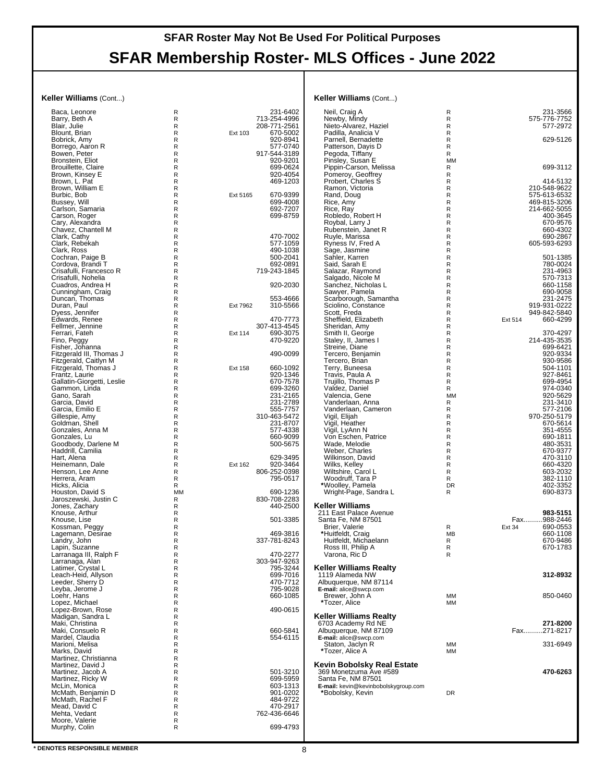#### **Keller Williams** (Cont...)

| Baca, Leonore                                  | R      |          | 231-6402                 |
|------------------------------------------------|--------|----------|--------------------------|
| Barry, Beth A                                  | R      |          | 713-254-4996             |
| Blair, Julie                                   | R      |          | 208-771-2561             |
| Blount, Brian                                  | R      | Ext 103  | 670-5002                 |
| Bobrick, Amy                                   | R      |          | 920-8941                 |
|                                                | R      |          | 577-0740                 |
| Borrego, Aaron R<br>Bowen, Peter               | R      |          | 917-544-3189             |
| Bronstein, Eliot                               | R      |          | 920-9201                 |
| Brouillette, Claire                            | R      |          | 699-0624                 |
| Brown, Kinsey E                                | R      |          | 920-4054                 |
| Brown, L. Pat                                  | R      |          | 469-1203                 |
| Brown, William E                               | R      |          |                          |
| Burbic, Bob                                    | R      | Ext 5165 | 670-9399                 |
| Bussey, Will                                   | R      |          | 699-4008                 |
| Carlson, Samaria                               | R      |          | 692-7207                 |
| Carson, Roger                                  | R      |          | 699-8759                 |
| Cary, Alexandra                                | R      |          |                          |
|                                                |        |          |                          |
| Chavez, Chantell M                             | R<br>R |          | 470-7002                 |
| Clark, Cathy                                   | R      |          |                          |
| Clark, Rebekah                                 |        |          | 577-1059                 |
| Clark, Ross                                    | R<br>R |          | 490-1038                 |
| Cochran, Paige B                               |        |          | 500-2041                 |
| Cordova, Brandi T                              | R      |          | 692-0891                 |
| Crisafulli, Francesco R<br>Crisafulli, Nohelia | R<br>R |          | 719-243-1845             |
|                                                |        |          |                          |
| Cuadros, Andrea H                              | R      |          | 920-2030                 |
| Cunningham, Craig                              | R<br>R |          | 553-4666                 |
| Duncan, Thomas                                 |        |          |                          |
| Duran, Paul                                    | R      | Ext 7962 | 310-5566                 |
| Dyess, Jennifer                                | R      |          |                          |
| Edwards, Renee                                 | R      |          | 470-7773                 |
| Fellmer, Jennine                               | R      |          | 307-413-4545             |
| Ferrari, Fateh                                 | R      | Ext 114  | 690-3075                 |
| Fino, Peggy                                    | R      |          | 470-9220                 |
| Fisher, Johanna                                | R      |          |                          |
| Fitzgerald III, Thomas J                       | R<br>R |          | 490-0099                 |
| Fitzgerald, Caitlyn M                          | R      |          | 660-1092                 |
| Fitzgerald, Thomas J<br>Frantz, Laurie         | R      | Ext 158  | 920-1346                 |
| Gallatin-Giorgetti, Leslie                     | R      |          | 670-7578                 |
| Gammon, Linda                                  | R      |          | 699-3260                 |
| Gano, Sarah                                    | R      |          | 231-2165                 |
| Garcia, David                                  | R      |          | 231-2789                 |
| Garcia, Emilio E                               | R      |          | 555-7757                 |
| Gillespie, Amy                                 | R      |          | 310-463-5472             |
| Goldman, Shell                                 | R      |          | 231-8707                 |
| Gonzales, Anna M                               | R      |          | 577-4338                 |
| Gonzales, Lu                                   | R      |          | 660-9099                 |
| Goodbody, Darlene M                            | R      |          | 500-5675                 |
| Haddrill, Camilia                              | R      |          |                          |
|                                                | R      |          | 629-3495                 |
| Hart, Alena<br>Heinemann, Dale                 | R      | Ext 162  | 920-3464                 |
|                                                | R      |          |                          |
| Henson, Lee Anne<br>Herrera, Aram              | R      |          | 806-252-0398             |
| Hicks, Alicia                                  | R      |          | 795-0517                 |
| Houston, David S                               | MM     |          | 690-1236                 |
| Jaroszewski, Justin C                          | R      |          | 830-708-2283             |
| Jones, Zachary                                 | R      |          | 440-2500                 |
| Knouse, Arthur                                 | R      |          |                          |
| Knouse, Lise                                   | R      |          | 501-3385                 |
| Kossman, Peggy                                 | R      |          |                          |
| Lagemann, Desirae                              | R      |          | 469-3816                 |
|                                                | R      |          | 337-781-8243             |
| Landry, John<br>Lapin, Suzanne                 | R      |          |                          |
| Larranaga III, Ralph F                         | R      |          | 470-2277                 |
| Larranaga, Alan                                | R      |          | 303-947-9263             |
| Latimer, Crystal L                             | R      |          | 795-3244                 |
| Leach-Heid, Allyson                            | R      |          | 699-7016                 |
| Leeder, Sherry D                               | R      |          | 470-7712                 |
| Leyba, Jerome J                                | R      |          | 795-9028                 |
| Loehr, Hans                                    | R      |          | 660-1085                 |
| Lopez, Michael                                 | R      |          |                          |
| Lopez-Brown, Rose                              | R      |          | 490-0615                 |
| Madigan, Sandra L                              | R      |          |                          |
| Maki, Christina                                | R      |          |                          |
| Maki, Consuelo R                               | R      |          | 660-5841                 |
| Mardel, Claudia                                | R      |          | 554-6115                 |
| Marioni, Melisa                                | R      |          |                          |
| Marks, David                                   | R      |          |                          |
| Martinez, Christianna                          | R      |          |                          |
| Martinez, David J                              | R      |          |                          |
| Martinez, Jacob A                              | R      |          | 501-3210                 |
| Martinez, Ricky W                              | R      |          | 699-5959                 |
| McLin, Monica                                  | R<br>R |          | 603-1313                 |
| McMath, Benjamin D                             | R      |          | 901-0202                 |
| McMath, Rachel F                               |        |          | 484-9722                 |
| Mead, David C<br>Mehta, Vedant                 | R<br>R |          | 470-2917<br>762-436-6646 |
| Moore, Valerie                                 | R      |          |                          |
| Murphy, Colin                                  | R      |          | 699-4793                 |
|                                                |        |          |                          |
|                                                |        |          |                          |

#### **Keller Williams** (Cont...)

| Neil, Craig A<br>Newby, Mindy                        | R<br>R         | 231-3566<br>575-776-7752          |
|------------------------------------------------------|----------------|-----------------------------------|
| Nieto-Alvarez, Haziel<br>Padilla, Analicia V         | R<br>R         | 577-2972                          |
| Parnell, Bernadette<br>Patterson, Dayis D            | R<br>R         | 629-5126                          |
| Pegoda, Tiffany                                      | R              |                                   |
| Pinsley, Susan E<br>Pippin-Carson, Melissa           | <b>MM</b><br>R | 699-3112                          |
| Pomeroy, Geoffrey                                    | R              |                                   |
| Probert, Charles S<br>Ramon, Victoria                | R<br>R         | 414-5132<br>210-548-9622          |
| Rand, Doug                                           | R              | 575-613-6532                      |
| Rice, Amy                                            | R              | 469-815-3206                      |
| Rice, Ray<br>Robledo, Robert H                       | R<br>R         | 214-662-5055<br>400-3645          |
| Roybal, Larry J                                      | R              | 670-9576                          |
| Rubenstein, Janet R<br>Ruyle, Marissa                | R<br>R         | 660-4302<br>690-2867              |
| Ryness IV, Fred A                                    | R              | 605-593-6293                      |
| Sage, Jasmine<br>Sahler, Karren                      | R<br>R         | 501-1385                          |
| Said, Sarah E                                        | R              | 780-0024                          |
| Salazar, Raymond<br>Salgado, Nicole M                | R<br>R         | 231-4963<br>570-7313              |
| Sanchez, Nicholas L                                  | R              | 660-1158                          |
| Sawyer, Pamela<br>Scarborough, Samantha              | R<br>R         | 690-9058<br>231-2475              |
| Sciolino, Constance                                  | R              | 919-931-0222                      |
| Scott, Freda                                         | R              | 949-842-5840                      |
| Sheffield, Elizabeth<br>Sheridan, Amy                | R<br>R         | Ext 514<br>660-4299               |
| Smith II, George                                     | R              | 370-4297                          |
| Staley, II, James I<br>Streine, Diane                | R<br>R         | 214-435-3535<br>699-6421          |
| Tercero, Benjamin                                    | R              | 920-9334                          |
| Tercero, Brian                                       | R<br>R         | 930-9586<br>504-1101              |
| Terry, Buneesa<br>Travis, Paula A                    | R              | 927-8461                          |
| Trujillo, Thomas P                                   | R              | 699-4954                          |
| Valdez, Daniel<br>Valencia, Gene                     | R<br><b>MM</b> | 974-0340<br>920-5629              |
| Vanderlaan, Anna                                     | R              | 231-3410                          |
| Vanderlaan, Cameron<br>Vigil, Elijah                 | R<br>R         | 577-2106<br>970-250-5179          |
| Vigil, Heather                                       | R              | 670-5614                          |
| Vigil, LyAnn N<br>Von Eschen, Patrice                | R<br>R         | 351-4555<br>690-1811              |
| Wade, Melodie                                        | R              | 480-3531                          |
| Weber, Charles                                       | R<br>R         | 670-9377                          |
| Wilkinson, David<br>Wilks, Kelley                    | R              | 470-3110<br>660-4320              |
| Wiltshire, Carol L                                   | R              | 603-2032                          |
| Woodruff, Tara P<br>*Woolley, Pamela                 | R<br>DR        | 382-1110<br>402-3352              |
| Wright-Page, Sandra L                                | R              | 690-8373                          |
| Keller Williams                                      |                |                                   |
| 211 East Palace Avenue                               |                | 983-5151                          |
| Santa Fe, NM 87501<br>Brier, Valerie                 | R              | Fax988-2446<br>690-0553<br>Ext 34 |
| *Huitfeldt, Craig                                    | <b>MB</b>      | 660-1108                          |
| Huitfeldt, Michaelann<br>Ross III, Philip A          | R<br>R         | 670-9486<br>670-1783              |
| Varona, Ric D                                        | R              |                                   |
| Keller Williams Realty                               |                |                                   |
| 1119 Alameda NW                                      |                | 312-8932                          |
| Albuquerque, NM 87114<br>E-mail: alice@swcp.com      |                |                                   |
| Brewer, John A                                       | МM             | 850-0460                          |
| *Tozer, Alice                                        | МM             |                                   |
| Keller Williams Realty                               |                |                                   |
| 6703 Academy Rd NE<br>Albuquerque, NM 87109          |                | 271-8200<br>Fax271-8217           |
| E-mail: alice@swcp.com                               |                |                                   |
| Staton, Jaclyn R<br>*Tozer, Alice A                  | МM<br>MM       | 331-6949                          |
|                                                      |                |                                   |
| Kevin Bobolsky Real Estate<br>369 Monetzuma Ave #589 |                | 470-6263                          |
| Santa Fe. NM 87501                                   |                |                                   |
| E-mail: kevin@kevinbobolskygroup.com                 | DR             |                                   |
| *Bobolsky, Kevin                                     |                |                                   |
|                                                      |                |                                   |
|                                                      |                |                                   |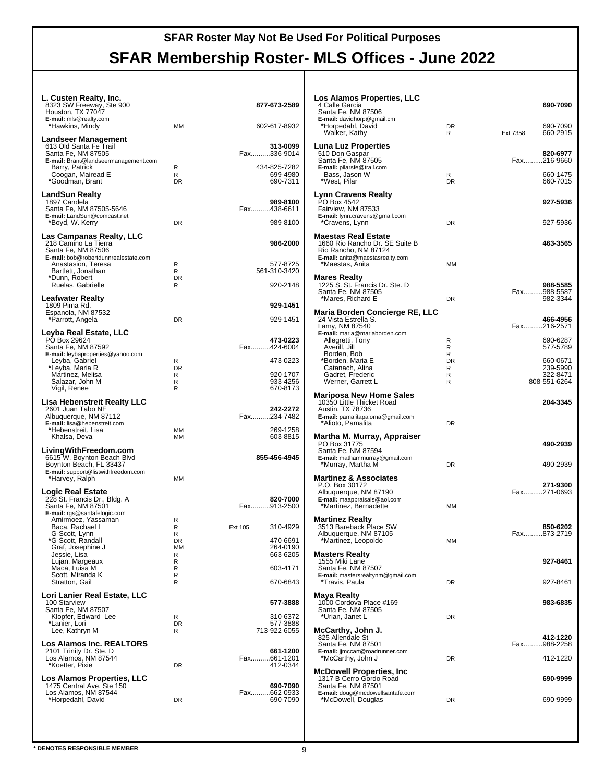| L. Custen Realty, Inc.<br>8323 SW Freeway, Ste 900<br>Houston, TX 77047<br>E-mail: mls@realty.com           |                     | 877-673-2589                         |
|-------------------------------------------------------------------------------------------------------------|---------------------|--------------------------------------|
| *Hawkins, Mindy                                                                                             | МM                  | 602-617-8932                         |
| Landseer Management<br>613 Old Santa Fe Trail<br>Santa Fe, NM 87505<br>E-mail: Brant@landseermanagement.com |                     | 313-0099<br>Fax336-9014              |
| Barry, Patrick<br>Coogan, Mairead E<br>*Goodman, Brant                                                      | R<br>R<br><b>DR</b> | 434-825-7282<br>699-4980<br>690-7311 |
| LandSun Realty<br>1897 Candela<br>Santa Fe, NM 87505-5646                                                   |                     | 989-8100<br>Fax438-6611              |
| E-mail: LandSun@comcast.net<br>*Boyd, W. Kerry                                                              | DR                  | 989-8100                             |
| Las Campanas Realty, LLC                                                                                    |                     |                                      |
| 218 Camino La Tierra<br>Santa Fe, NM 87506<br>E-mail: bob@robertdunnrealestate.com                          |                     | 986-2000                             |
| Anastasion, Teresa<br>Bartlett, Jonathan                                                                    | R<br>R              | 577-8725<br>561-310-3420             |
| *Dunn, Robert                                                                                               | <b>DR</b><br>R      | 920-2148                             |
| Ruelas, Gabrielle                                                                                           |                     |                                      |
| Leafwater Realty<br>1809 Pima Rd.                                                                           |                     | 929-1451                             |
| Espanola, NM 87532<br>*Parrott, Angela                                                                      | DR                  | 929-1451                             |
| Leyba Real Estate, LLC                                                                                      |                     |                                      |
| PO Box 29624<br>Santa Fe, NM 87592                                                                          |                     | 473-0223<br>Fax424-6004              |
| <b>E-mail:</b> leybaproperties@yahoo.com<br>Leyba, Gabriel                                                  | R                   | 473-0223                             |
| *Leyba, Maria R                                                                                             | <b>DR</b>           |                                      |
| Martinez, Melisa<br>Salazar, John M                                                                         | R<br>R              | 920-1707<br>933-4256                 |
| Vigil, Renee                                                                                                | R                   | 670-8173                             |
| Lisa Hebenstreit Realty LLC<br>2601 Juan Tabo NE<br>Albuquerque, NM 87112                                   |                     | 242-2272<br>Fax234-7482              |
| E-mail: lisa@hebenstreit.com<br>*Hebenstreit, Lisa                                                          | MМ                  | 269-1258                             |
| Khalsa, Deva                                                                                                | МM                  | 603-8815                             |
| LivingWithFreedom.com<br>6615 W. Boynton Beach Blvd<br>Boynton Beach, FL 33437                              |                     | 855-456-4945                         |
| <b>E-mail:</b> support@listwithfreedom.com<br>*Harvey, Ralph                                                | МM                  |                                      |
| Logic Real Estate<br>228 St. Francis Dr., Bldg. A                                                           |                     | 820-7000                             |
| Santa Fe, NM 87501<br>E-mail: rgs@santafelogic.com                                                          |                     | Fax913-2500                          |
| Amirmoez, Yassaman<br>Baca, Rachael L                                                                       | R<br>R              | 310-4929                             |
| G-Scott, Lynn                                                                                               | R                   | Ext 105                              |
| *G-Scott, Randall<br>Graf, Josephine J                                                                      | DR<br>МM            | 470-6691<br>264-0190                 |
| Jessie, Lisa<br>Lujan, Margeaux                                                                             | R<br>R              | 663-6205                             |
| Maca, Luisa M<br>Scott, Miranda K                                                                           | R<br>R              | 603-4171                             |
| Stratton, Gail                                                                                              | R                   | 670-6843                             |
| Lori Lanier Real Estate, LLC<br>100 Starview                                                                |                     | 577-3888                             |
| Santa Fe, NM 87507                                                                                          | R                   |                                      |
| Klopfer, Edward Lee<br>*Lanier, Lori                                                                        | <b>DR</b>           | 310-6372<br>577-3888                 |
| Lee, Kathryn M                                                                                              | R                   | 713-922-6055                         |
| Los Alamos Inc. REALTORS®<br>2101 Trinity Dr. Ste. D                                                        |                     | 661-1200                             |
| Los Alamos, NM 87544<br>*Koetter, Pixie                                                                     | DR                  | Fax661-1201<br>412-0344              |
| Los Alamos Properties, LLC                                                                                  |                     |                                      |
| 1475 Central Ave. Ste 150                                                                                   |                     | 690-7090                             |
| Los Alamos, NM 87544<br>*Horpedahl, David                                                                   | DR                  | Fax662-0933<br>690-7090              |
|                                                                                                             |                     |                                      |

| Los Alamos Properties, LLC                                                                                   |                |                                     |
|--------------------------------------------------------------------------------------------------------------|----------------|-------------------------------------|
| 4 Calle Garcia<br>Santa Fe, NM 87506<br>E-mail: davidhorp@gmail.cm                                           |                | 690-7090                            |
| *Horpedahl, David<br>Walker, Kathy                                                                           | <b>DR</b><br>R | 690-7090<br>Ext 7358<br>660-2915    |
| Luna Luz Properties<br>510 Don Gaspar<br>Santa Fe, NM 87505                                                  |                | 820-6977<br>Fax216-9660             |
| E-mail: pilarsfe@trail.com<br>Bass, Jason W<br>*West, Pilar                                                  | R<br>DR        | 660-1475<br>660-7015                |
| Lynn Cravens Realty<br>PO Box 4542<br>Fairview, NM 87533<br>E-mail: lynn.cravens@gmail.com                   |                | 927-5936                            |
| *Cravens, Lynn<br>Maestas Real Estate                                                                        | <b>DR</b>      | 927-5936                            |
| 1660 Rio Rancho Dr. SE Suite B<br>Rio Rancho, NM 87124<br>E-mail: anita@maestasrealty.com<br>*Maestas, Anita | MM             | 463-3565                            |
| Mares Realty                                                                                                 |                |                                     |
| 1225 S. St. Francis Dr. Ste. D<br>Santa Fe, NM 87505<br>*Mares, Richard E                                    | DR             | 988-5585<br>Fax988-5587<br>982-3344 |
| Maria Borden Concierge RE, LLC<br>24 Vista Estrella S.                                                       |                | 466-4956                            |
| Lamy, NM 87540<br>E-mail: maria@mariaborden.com<br>Allegretti, Tony                                          | R              | Fax216-2571<br>690-6287             |
| Averill, Jill<br>Borden, Bob                                                                                 | R<br>R         | 577-5789                            |
| *Borden, Maria E<br>Catanach, Alina                                                                          | DR<br>R        | 660-0671<br>239-5990                |
| Gadret, Frederic<br>Werner, Garrett L                                                                        | R<br>R         | 322-8471<br>808-551-6264            |
| <b>Mariposa New Home Sales</b><br>10350 Little Thicket Road<br>Austin, TX 78736                              |                | 204-3345                            |
| E-mail: pamalitapaloma@gmail.com<br>*Alioto, Pamalita                                                        | DR             |                                     |
| Martha M. Murray, Appraiser<br>PO Box 31775                                                                  |                | 490-2939                            |
| Santa Fe, NM 87594<br>E-mail: mathammurray@gmail.com<br>*Murray, Martha M                                    | DR             | 490-2939                            |
| <b>Martinez &amp; Associates</b><br>P.O. Box 30172                                                           |                | 271-9300                            |
| Albuquerque, NM 87190<br>E-mail: maappraisals@aol.com<br>*Martinez, Bernadette                               | MM             | Fax271-0693                         |
| <b>Martinez Realty</b>                                                                                       |                |                                     |
| 3513 Bareback Place SW<br>Albuquerque, NM 87105<br>*Martinez, Leopoldo                                       | MM             | 850-6202<br>Fax873-2719             |
| <b>Masters Realty</b><br>1555 Miki Lane                                                                      |                | 927-8461                            |
| Santa Fe, NM 87507<br>E-mail: mastersrealtynm@gmail.com                                                      | DR             |                                     |
| *Travis, Paula<br>Maya Realty                                                                                |                | 927-8461                            |
| 1000 Cordova Place #169<br>Santa Fe, NM 87505<br>*Urian, Janet L                                             | DR             | 983-6835                            |
| McCarthy, John J.<br>825 Allendale St                                                                        |                | 412-1220                            |
| Santa Fe, NM 87501<br>E-mail: jjmccart@roadrunner.com                                                        |                | Fax988-2258                         |
| *McCarthy, John J<br><b>McDowell Properties, Inc</b>                                                         | <b>DR</b>      | 412-1220                            |
| 1317 B Cerro Gordo Road<br>Santa Fe, NM 87501                                                                |                | 690-9999                            |
| E-mail: doug@mcdowellsantafe.com<br>*McDowell, Douglas                                                       | DR             | 690-9999                            |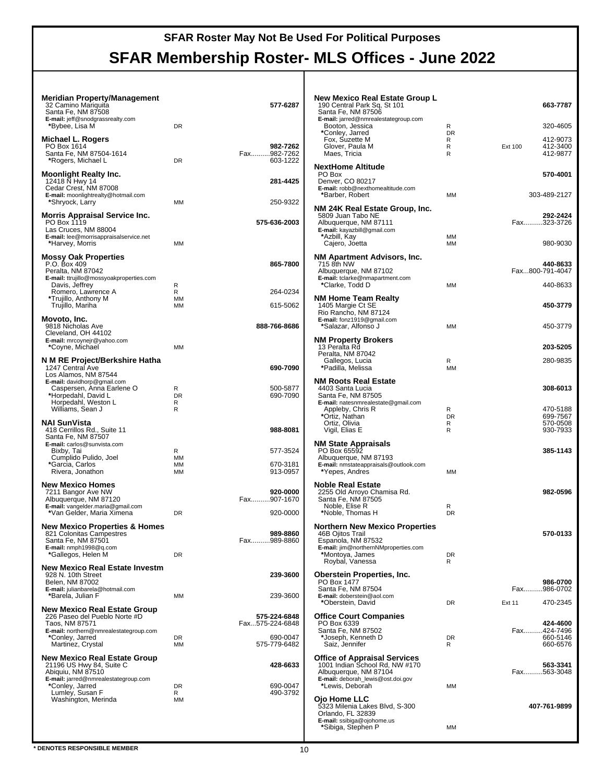| Meridian Property/Management<br>32 Camino Mariguita<br>Santa Fe, NM 87508<br>E-mail: jeff@snodgrassrealty.com<br>*Bybee, Lisa M                    | DR                       | 577-6287                            | New M<br>190 Ce<br>Santa I<br>E-mail:<br>Booto            |
|----------------------------------------------------------------------------------------------------------------------------------------------------|--------------------------|-------------------------------------|-----------------------------------------------------------|
| Michael L. Rogers<br>PO Box 1614<br>Santa Fe, NM 87504-1614<br>*Rogers, Michael L                                                                  | DR                       | 982-7262<br>Fax982-7262<br>603-1222 | *Conle<br>Fox,<br>Glove<br>Maes                           |
| <b>Moonlight Realty Inc.</b><br>12418 N Hwy 14<br>Cedar Crest, NM 87008<br>E-mail: moonlightrealty@hotmail.com<br>*Shryock, Larry                  | МM                       | 281-4425<br>250-9322                | NextHo<br>PO Box<br>Denver<br>E-mail:<br>*Barb            |
| <b>Morris Appraisal Service Inc.</b><br>PO Box 1119<br>Las Cruces, NM 88004<br>E-mail: lee@morrisappraisalservice.net<br>*Harvey, Morris           | МM                       | 575-636-2003                        | NM 24ł<br>5809 J<br>Albuqu<br>E-mail:<br>*Azbill<br>Cajer |
| <b>Mossy Oak Properties</b><br>P.O. Box 409<br>Peralta, NM 87042<br>E-mail: ttrujillo@mossyoakproperties.com<br>Davis, Jeffrey                     | R                        | 865-7800                            | NM Ap<br>715 8th<br>Albuqu<br>E-mail:<br>*Clark           |
| Romero, Lawrence A<br>*Trujillo, Anthony M                                                                                                         | R<br>MМ                  | 264-0234                            | NM Ho                                                     |
| Trujillo, Mariha                                                                                                                                   | MМ                       | 615-5062                            | 1405 M<br>Rio Ra                                          |
| Movoto, Inc.<br>9818 Nicholas Ave<br>Cleveland, OH 44102<br>E-mail: mrcoynejr@yahoo.com                                                            |                          | 888-766-8686                        | E-mail:<br>*Salaz<br>NM Prc                               |
| *Coyne, Michael<br>N M RE Project/Berkshire Hatha<br>1247 Central Ave                                                                              | MM                       | 690-7090                            | 13 Pera<br>Peralta<br>Galle<br>*Padil                     |
| Los Alamos, NM 87544<br>E-mail: davidhorp@gmail.com<br>Caspersen, Anna Earlene O<br>*Horpedahl, David L<br>Horpedahl, Weston L<br>Williams, Sean J | R<br><b>DR</b><br>R<br>R | 500-5877<br>690-7090                | NM Ro<br>4403 S<br>Santa I<br>E-mail:<br>Apple<br>*Ortiz, |
| <b>NAI SunVista</b><br>418 Cerrillos Rd., Suite 11<br>Santa Fe, NM 87507                                                                           |                          | 988-8081                            | Ortiz,<br>Vigil,                                          |
| E-mail: carlos@sunvista.com<br>Bixby, Tai<br>Cumplido Pulido, Joel<br>*Garcia, Carlos<br>Rivera, Jonathon                                          | R<br>MМ<br>МM<br>MМ      | 577-3524<br>670-3181<br>913-0957    | NM Sta<br>PO Box<br>Albuqu<br>E-mail:<br>*Yepe            |
| <b>New Mexico Homes</b><br>7211 Bangor Ave NW<br>Albuquerque, NM 87120<br>E-mail: vangelder.maria@gmail.com<br>*Van Gelder, Maria Ximena           | DR                       | 920-0000<br>Fax907-1670<br>920-0000 | Noble l<br>2255 C<br>Santa F<br>Noble<br>*Noble           |
| <b>New Mexico Properties &amp; Homes</b><br>821 Colonitas Campestres<br>Santa Fe, NM 87501<br>E-mail: nmph1998@q.com<br>*Gallegos, Helen M         | <b>DR</b>                | 989-8860<br>Fax989-8860             | Northe<br>46B Oj<br>Espano<br>E-mail:<br>*Mont<br>Royb    |
| New Mexico Real Estate Investm<br>928 N. 10th Street<br>Belen, NM 87002<br>E-mail: julianbarela@hotmail.com                                        |                          | 239-3600                            | <b>Oberst</b><br>PO Box<br>Santa F                        |
| *Barela, Julian F                                                                                                                                  | МM                       | 239-3600                            | E-mail:<br>*Ober                                          |
| <b>New Mexico Real Estate Group</b><br>226 Paseo del Pueblo Norte #D<br>Taos, NM 87571<br>E-mail: northern@nmrealestategroup.com                   |                          | 575-224-6848<br>Fax575-224-6848     | Office<br>PO Box<br>Santa F                               |
| *Conley, Jarred<br>Martinez, Crystal                                                                                                               | DR<br>ΜМ                 | 690-0047<br>575-779-6482            | *Josei<br>Saiz,                                           |
| New Mexico Real Estate Group<br>21196 US Hwy 84, Suite C<br>Abiquiu, NM 87510<br>E-mail: jarred@nmrealestategroup.com                              |                          | 428-6633                            | Office<br>1001 Ir<br>Albuqu<br>E-mail:                    |
| *Conley, Jarred<br>Lumley, Susan F<br>Washington, Merinda                                                                                          | DR<br>R.<br>МM           | 690-0047<br>490-3792                | *Lewis<br>Ojo Ho<br>5323 M<br><b>Orland</b><br>F-mail:    |

| New Mexico Real Estate Group L<br>190 Central Park Sq, St 101  |         | 663-7787                    |  |
|----------------------------------------------------------------|---------|-----------------------------|--|
| Santa Fe, NM 87506                                             |         |                             |  |
| E-mail: jarred@nmrealestategroup.com<br>Booton, Jessica        | R       | 320-4605                    |  |
| *Conley, Jarred<br>Fox, Suzette M                              | DR<br>R | 412-9073                    |  |
| Glover, Paula M                                                | R       | Ext 100<br>412-3400         |  |
| Maes, Tricia                                                   | R       | 412-9877                    |  |
| NextHome Altitude                                              |         |                             |  |
| PO Box<br>Denver, CO 80217                                     |         | 570-4001                    |  |
| E-mail: robb@nexthomealtitude.com                              |         |                             |  |
| *Barber, Robert                                                | МM      | 303-489-2127                |  |
| NM 24K Real Estate Group, Inc.<br>5809 Juan Tabo NE            |         | 292-2424                    |  |
| Albuquerque, NM 87111                                          |         | Fax323-3726                 |  |
| E-mail: kayazbill@gmail.com<br>*Azbill, Kay                    | МM      |                             |  |
| Cajero, Joetta                                                 | МM      | 980-9030                    |  |
| NM Apartment Advisors, Inc.                                    |         |                             |  |
| 715 8th NW                                                     |         | 440-8633<br>Fax800-791-4047 |  |
| Albuquerque, NM 87102<br>E-mail: tclarke@nmapartment.com       |         |                             |  |
| *Clarke, Todd D                                                | МM      | 440-8633                    |  |
| NM Home Team Realty                                            |         |                             |  |
| 1405 Margie Ct SE<br>Rio Rancho, NM 87124                      |         | 450-3779                    |  |
| E-mail: fonz1919@gmail.com                                     |         |                             |  |
| *Salazar, Alfonso J                                            | МM      | 450-3779                    |  |
| <b>NM Property Brokers</b>                                     |         |                             |  |
| 13 Peralta Rd<br>Peralta, NM 87042                             |         | 203-5205                    |  |
| Gallegos, Lucia<br>*Padilla, Melissa                           | R<br>MM | 280-9835                    |  |
|                                                                |         |                             |  |
| NM Roots Real Estate<br>4403 Santa Lucia                       |         | 308-6013                    |  |
| Santa Fe, NM 87505                                             |         |                             |  |
| E-mail: natesnmrealestate@gmail.com<br>Appleby, Chris R        | R       | 470-5188                    |  |
| *Ortiz, Nathan                                                 | DR      | 699-7567                    |  |
| Ortiz, Olivia<br>Vigil, Elias E                                | R<br>R  | 570-0508<br>930-7933        |  |
| NM State Appraisals                                            |         |                             |  |
| PO Box 65592                                                   |         | 385-1143                    |  |
| Albuquerque, NM 87193<br>E-mail: nmstateappraisals@outlook.com |         |                             |  |
| *Yepes, Andres                                                 | МM      |                             |  |
| Noble Real Estate                                              |         |                             |  |
| 2255 Old Arroyo Chamisa Rd.                                    |         | 982-0596                    |  |
| Santa Fe, NM 87505<br>Noble, Elise R                           | R       |                             |  |
| *Noble, Thomas H                                               | DR      |                             |  |
| Northern New Mexico Properties                                 |         |                             |  |
| 46B Ojitos Trail<br>Espanola, NM 87532                         |         | 570-0133                    |  |
| E-mail: jim@northernNMproperties.com                           |         |                             |  |
| *Montoya, James<br>Roybal, Vanessa                             | DR<br>R |                             |  |
| Oberstein Properties, Inc.                                     |         |                             |  |
| PO Box 1477                                                    |         | 986-0700                    |  |
| Santa Fe, NM 87504<br>E-mail: doberstein@aol.com               |         | Fax986-0702                 |  |
| *Oberstein, David                                              | DR      | <b>Ext 11</b><br>470-2345   |  |
| Office Court Companies                                         |         |                             |  |
| PO Box 6339                                                    |         | 424-4600                    |  |
| Santa Fe, NM 87502<br>*Joseph, Kenneth D                       | DR      | Fax424-7496<br>660-5146     |  |
| Saiz, Jennifer                                                 | R       | 660-6576                    |  |
| Office of Appraisal Services                                   |         |                             |  |
| 1001 Indian School Rd, NW #170<br>Albuquerque, NM 87104        |         | 563-3341<br>Fax563-3048     |  |
| E-mail: deborah_lewis@ost.doi.gov                              |         |                             |  |
| *Lewis, Deborah                                                | МM      |                             |  |
| Ojo Home LLC                                                   |         | 407-761-9899                |  |
| 5323 Milenia Lakes Blvd, S-300<br>Orlando, FL 32839            |         |                             |  |
| E-mail: ssibiga@ojohome.us<br>*Sibiga, Stephen P               | МM      |                             |  |
|                                                                |         |                             |  |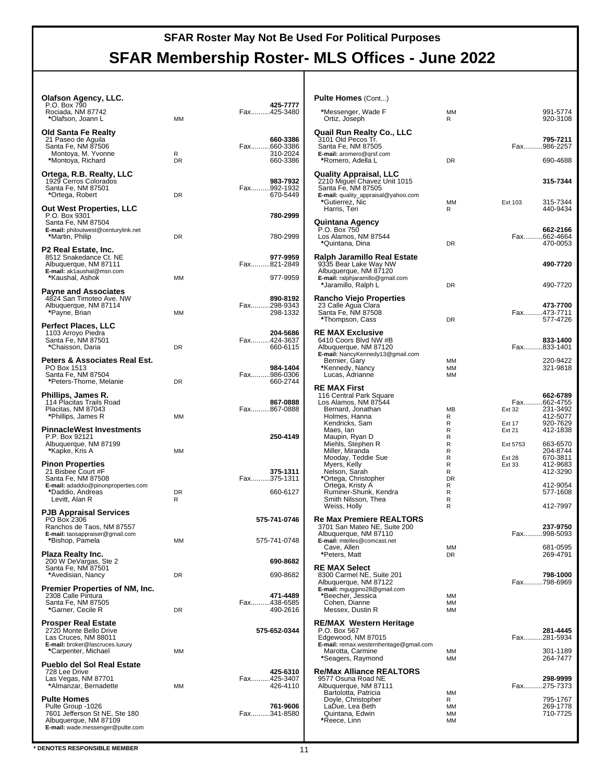# **SFAR Membership Roster- MLS Offices - June 2022**

| <b>Olafson Agency, LLC.</b><br>P.O. Box 790<br>Rociada, NM 87742<br>*Olafson, Joann L                                                            | ΜМ             | 425-7777<br>Fax425-3480                         |   |
|--------------------------------------------------------------------------------------------------------------------------------------------------|----------------|-------------------------------------------------|---|
| Old Santa Fe Realty<br>21 Paseo de Aguila<br>Santa Fe, NM 87506<br>Montoya, M. Yvonne<br>*Montoya, Richard                                       | R<br>DR        | 660-3386<br>Fax660-3386<br>310-2024<br>660-3386 |   |
| Ortega, R.B. Realty, LLC<br>1929 Cerros Colorados<br>Santa Fe, NM 87501<br>*Ortega, Robert                                                       | DR.            | 983-7932<br>Fax992-1932<br>670-5449             |   |
| <b>Out West Properties, LLC</b><br>P.O. Box 9301<br>Santa Fe, NM 87504<br>E-mail: philoutwest@centurylink.net<br>*Martin, Philip                 | DR             | 780-2999<br>780-2999                            |   |
| P2 Real Estate, Inc.<br>8512 Snakedance Ct. NE<br>Albuquerque, NM 87111<br>E-mail: ak1aushal@msn.com<br>*Kaushal, Ashok                          | ΜМ             | 977-9959<br>Fax821-2849<br>977-9959             |   |
| <b>Payne and Associates</b><br>4824 San Timoteo Ave. NW<br>Albuquerque, NM 87114<br>*Payne, Brian                                                | ΜМ             | 890-8192<br>Fax298-9343<br>298-1332             | F |
| Perfect Places, LLC<br>1103 Arroyo Piedra<br>Santa Fe, NM 87501<br>*Chaisson, Daria                                                              | <b>DR</b>      | 204-5686<br>Fax424-3637<br>660-6115             | F |
| Peters & Associates Real Est.<br>PO Box 1513<br>Santa Fe, NM 87504<br>*Peters-Thorne, Melanie                                                    | DR.            | 984-1404<br>Fax986-0306<br>660-2744             |   |
| Phillips, James R.<br>114 Placitas Trails Road<br>Placitas, NM 87043<br>*Phillips, James R                                                       | ΜМ             | 867-0888<br>Fax867-0888                         |   |
| <b>PinnacleWest Investments</b><br>P.P. Box 92121<br>Albuquerque, NM 87199<br>*Kapke, Kris A                                                     | ΜМ             | 250-4149                                        |   |
| <b>Pinon Properties</b><br>21 Bisbee Court #F<br>Santa Fe, NM 87508<br>E-mail: adaddio@pinonproperties.com<br>*Daddio, Andreas<br>Levitt, Alan R | <b>DR</b><br>R | 375-1311<br>Fax375-1311<br>660-6127             |   |
| <b>PJB Appraisal Services</b><br>PO Box 2306<br>Ranchos de Taos, NM 87557<br>E-mail: taosappraiser@gmail.com                                     |                | 575-741-0746                                    | F |
| *Bishop, Pamela<br>Plaza Realty Inc.<br>200 W DeVargas, Ste 2<br>Santa Fe, NM 87501                                                              | ΜM             | 575-741-0748<br>690-8682                        | F |
| *Avedisian, Nancy<br>Premier Properties of NM, Inc.<br>2308 Calle Pintura<br>Santa Fe, NM 87505<br>*Garner, Cecile R                             | DR<br>DR       | 690-8682<br>471-4489<br>Fax438-6585<br>490-2616 |   |
| <b>Prosper Real Estate</b><br>2720 Monte Bello Drive<br>Las Cruces. NM 88011<br>E-mail: broker@lascruces.luxury                                  |                | 575-652-0344                                    | F |
| *Carpenter, Michael<br><b>Pueblo del Sol Real Estate</b><br>728 Lee Drive<br>Las Vegas, NM 87701<br>*Almanzar, Bernadette                        | МM<br>МM       | 425-6310<br>Fax425-3407<br>426-4110             | F |
| <b>Pulte Homes</b><br>Pulte Group -1026<br>7601 Jefferson St NE, Ste 180<br>Albuquerque, NM 87109<br><b>E-mail:</b> wade.messenger@pulte.com     |                | 761-9606<br>Fax341-8580                         |   |

| <b>Pulte Homes (Cont)</b>                                                                                                                     |                 |                                  |
|-----------------------------------------------------------------------------------------------------------------------------------------------|-----------------|----------------------------------|
| *Messenger, Wade F<br>Ortiz, Joseph                                                                                                           | мм<br>R         | 991-5774<br>920-3108             |
| Quail Run Realty Co., LLC<br>3101 Old Pecos Tr.<br>Santa Fe, NM 87505<br>E-mail: aromero@qrsf.com                                             |                 | 795-7211<br>Fax986-2257          |
| *Romero, Adella L                                                                                                                             | DR              | 690-4688                         |
| <b>Quality Appraisal, LLC</b><br>2210 Miguel Chavez Unit 1015<br>Santa Fe, NM 87505<br>E-mail: quality_appraisal@yahoo.com<br>*Gutierrez, Nic | MM              | 315-7344<br>Ext 103<br>315-7344  |
| Harris, Teri                                                                                                                                  | R               | 440-9434                         |
| Quintana Agency<br>P.O. Box 750                                                                                                               |                 | 662-2166                         |
| Los Alamos, NM 87544<br>*Quintana, Dina                                                                                                       | DR              | Fax662-4664<br>470-0053          |
| Ralph Jaramillo Real Estate<br>9335 Bear Lake Way NW<br>Albuquerque, NM 87120<br>E-mail: ralphjaramillo@gmail.com                             |                 | 490-7720                         |
| *Jaramillo, Ralph L                                                                                                                           | DR              | 490-7720                         |
| Rancho Viejo Properties<br>23 Calle Agua Clara                                                                                                |                 | 473-7700                         |
| Santa Fe, NM 87508<br>*Thompson, Cass                                                                                                         | <b>DR</b>       | Fax473-7711<br>577-4726          |
|                                                                                                                                               |                 |                                  |
| <b>RE MAX Exclusive</b><br>6410 Coors Blvd NW #B                                                                                              |                 | 833-1400                         |
| Albuquerque, NM 87120<br>E-mail: NancyKennedy13@gmail.com                                                                                     |                 | Fax833-1401                      |
| Bernier, Gary<br>*Kennedy, Nancy                                                                                                              | мм<br>мм        | 220-9422<br>321-9818             |
| Lucas, Adrianne                                                                                                                               | МM              |                                  |
| <b>RE MAX First</b><br>116 Central Park Square                                                                                                |                 | 662-6789                         |
| Los Alamos, NM 87544                                                                                                                          |                 | Fax662-4755                      |
| Bernard, Jonathan<br>Holmes, Hanna                                                                                                            | MВ<br>R         | 231-3492<br>Ext 32<br>412-5077   |
| Kendricks, Sam                                                                                                                                | R               | 920-7629<br>Ext 17               |
| Maes, Ian<br>Maupin, Ryan D<br>Miehls, Stephen R                                                                                              | R<br>R          | 412-1838<br>Ext 21               |
| Miller, Miranda                                                                                                                               | R<br>R          | Ext 5753<br>663-6570<br>204-8744 |
| Mooday, Teddie Sue                                                                                                                            | R               | 670-3811<br>Ext 28               |
| Myers, Kelly<br>Nelson, Sarah                                                                                                                 | R<br>R          | 412-9683<br>Ext 33<br>412-3290   |
| *Ortega, Christopher                                                                                                                          | DR              | 412-9054                         |
| Ortega, Kristy A<br>Ruminer-Shunk, Kendra                                                                                                     | R<br>R          | 577-1608                         |
| Smith Nilsson, Thea<br>Weiss, Holly                                                                                                           | R<br>R          | 412-7997                         |
| Re Max Premiere REALTORS®                                                                                                                     |                 |                                  |
| 3701 San Mateo NE, Suite 200                                                                                                                  |                 | 237-9750                         |
| Albuquerque, NM 87110<br>E-mail: mtelles@comcast.net                                                                                          |                 | Fax.<br>998-5093                 |
| Cave, Allen<br>*Peters, Matt                                                                                                                  | MM<br>DR        | 681-0595<br>269-4791             |
| <b>RE MAX Select</b>                                                                                                                          |                 |                                  |
| 8300 Carmel NE, Suite 201                                                                                                                     |                 | 798-1000                         |
| Albuquerque, NM 87122<br>E-mail: mguggino28@gmail.com                                                                                         |                 | Fax798-6969                      |
| *Beecher, Jessica                                                                                                                             | MМ              |                                  |
| Cohen, Dianne<br>Messex, Dustin R                                                                                                             | MM<br><b>MM</b> |                                  |
| <b>RE/MAX Western Heritage</b>                                                                                                                |                 |                                  |
| P.O. Box 567<br>Edgewood, NM 87015                                                                                                            |                 | 281-4445<br>Fax281-5934          |
| E-mail: remax.westernheritage@gmail.com                                                                                                       |                 |                                  |
| Marotta, Carmine<br>*Seagers, Raymond                                                                                                         | MM<br>MM        | 301-1189<br>264-7477             |
| Re/Max Alliance REALTORS®                                                                                                                     |                 |                                  |
| 9577 Osuna Road NE                                                                                                                            |                 | 298-9999                         |
| Albuquerque, NM 87111<br>Bartolotta, Patricia                                                                                                 | <b>MM</b>       | Fax275-7373                      |
| Doyle, Christopher                                                                                                                            | R               | 795-1767                         |
| LaDue, Lea Beth<br>Quintana, Edwin                                                                                                            | MM<br>MM        | 269-1778<br>710-7725             |
| *Reece, Linn                                                                                                                                  | <b>MM</b>       |                                  |

**\*** DENOTES RESPONSIBLE MEMBER 11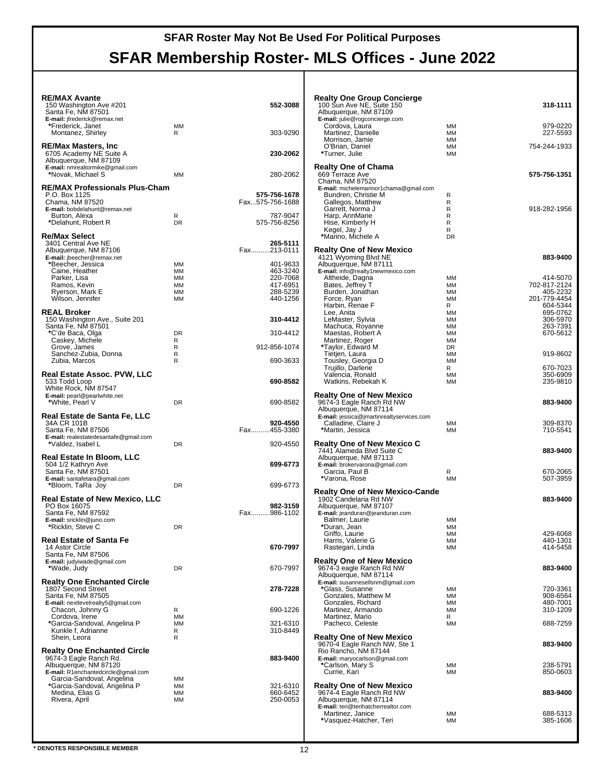## **SFAR Membership Roster- MLS Offices - June 2022**

| <b>RE/MAX Avante</b>                                         |           |                                 | <b>Realty One Group Concierge</b>                         |                        |                          |
|--------------------------------------------------------------|-----------|---------------------------------|-----------------------------------------------------------|------------------------|--------------------------|
| 150 Washington Ave #201<br>Santa Fe, NM 87501                |           | 552-3088                        | 100 Sun Ave NE, Suite 150<br>Albuquerque, NM 87109        |                        | 318-1111                 |
| E-mail: jfrederick@remax.net                                 |           |                                 | E-mail: julie@rogconcierge.com                            |                        |                          |
| *Frederick, Janet                                            | MМ        |                                 | Cordova, Laura                                            | MМ                     | 979-0220                 |
| Montanez, Shirley                                            | R         | 303-9290                        | Martinez, Danielle                                        | MМ                     | 227-5593                 |
| <b>RE/Max Masters, Inc</b>                                   |           |                                 | Morrison, Jamie<br>O'Brian, Daniel                        | MМ<br>MM               | 754-244-1933             |
| 6705 Academy NE Suite A                                      |           | 230-2062                        | *Turner, Julie                                            | <b>MM</b>              |                          |
| Albuquerque, NM 87109                                        |           |                                 |                                                           |                        |                          |
| E-mail: nmrealtormike@gmail.com<br>*Novak, Michael S         | MМ        | 280-2062                        | <b>Realty One of Chama</b><br>669 Terrace Ave             |                        | 575-756-1351             |
|                                                              |           |                                 | Chama, NM 87520                                           |                        |                          |
| <b>RE/MAX Professionals Plus-Cham</b>                        |           |                                 | E-mail: michelemarinor1chama@qmail.com                    |                        |                          |
| P.O. Box 1125<br>Chama, NM 87520                             |           | 575-756-1678<br>Fax575-756-1688 | Bundren, Christie M                                       | $\mathsf{R}$<br>R      |                          |
| E-mail: bobdelahunt@remax.net                                |           |                                 | Gallegos, Matthew<br>Garrett, Norma J                     | R                      | 918-282-1956             |
| Burton, Alexa                                                | R         | 787-9047                        | Harp, AnnMarie                                            | R                      |                          |
| *Delahunt, Robert R                                          | <b>DR</b> | 575-756-8256                    | Hise, Kimberly H                                          | R                      |                          |
| <b>Re/Max Select</b>                                         |           |                                 | Kegel, Jay J<br>*Marino, Michele A                        | R<br><b>DR</b>         |                          |
| 3401 Central Ave NE                                          |           | 265-5111                        |                                                           |                        |                          |
| Albuquerque, NM 87106                                        |           | Fax213-0111                     | <b>Realty One of New Mexico</b>                           |                        |                          |
| E-mail: jbeecher@remax.net<br>*Beecher, Jessica              | MМ        | 401-9633                        | 4121 Wyoming Blvd NE<br>Albuquerque, NM 87111             |                        | 883-9400                 |
| Caine, Heather                                               | MМ        | 463-3240                        | E-mail: info@realty1newmexico.com                         |                        |                          |
| Parker, Lisa                                                 | MM        | 220-7068                        | Altheide, Dagna                                           | ΜМ                     | 414-5070                 |
| Ramos, Kevin<br>Ryerson, Mark E                              | MМ<br>MМ  | 417-6951<br>288-5239            | Bates, Jeffrey T<br>Burden, Jonathan                      | MМ<br>MМ               | 702-817-2124<br>405-2232 |
| Wilson, Jennifer                                             | ΜМ        | 440-1256                        | Force, Ryan                                               | <b>MM</b>              | 201-779-4454             |
|                                                              |           |                                 | Harbin, Renae F                                           | R                      | 604-5344                 |
| <b>REAL Broker</b>                                           |           | 310-4412                        | Lee. Anita<br>LeMaster, Sylvia                            | MМ<br><b>MM</b>        | 695-0762                 |
| 150 Washington Ave., Suite 201<br>Santa Fe, NM 87501         |           |                                 | Machuca, Royanne                                          | MМ                     | 306-5970<br>263-7391     |
| *C'de Baca, Olga                                             | <b>DR</b> | 310-4412                        | Maestas, Robert A                                         | MМ                     | 670-5612                 |
| Caskey, Michele                                              | R         |                                 | Martinez, Roger                                           | MМ                     |                          |
| Grove, James<br>Sanchez-Zubia, Donna                         | R<br>R    | 912-856-1074                    | *Taylor, Edward M<br>Tietjen, Laura                       | DR<br><b>MM</b>        | 919-8602                 |
| Zubia, Marcos                                                | R         | 690-3633                        | Tousley, Georgia D                                        | <b>MM</b>              |                          |
|                                                              |           |                                 | Trujillo, Darlene                                         | R                      | 670-7023                 |
| Real Estate Assoc. PVW, LLC<br>533 Todd Loop                 |           | 690-8582                        | Valencia, Ronald<br>Watkins, Rebekah K                    | <b>MM</b><br>MМ        | 350-6909<br>235-9810     |
| White Rock, NM 87547                                         |           |                                 |                                                           |                        |                          |
| E-mail: pearl@pearlwhite.net                                 |           |                                 | <b>Realty One of New Mexico</b>                           |                        |                          |
| *White, Pearl V                                              | <b>DR</b> | 690-8582                        | 9674-3 Eagle Ranch Rd NW<br>Albuquerque, NM 87114         |                        | 883-9400                 |
| Real Estate de Santa Fe, LLC                                 |           |                                 | E-mail: jessica@jmartinrealtyservices.com                 |                        |                          |
| 34A CR 101B                                                  |           | 920-4550                        | Calladine, Claire J                                       | MМ                     | 309-8370                 |
| Santa Fe, NM 87506<br>E-mail: realestatedesantafe@gmail.com  |           | Fax455-3380                     | *Martin, Jessica                                          | MМ                     | 710-5541                 |
| *Valdez, Isabel L                                            | DR        | 920-4550                        | <b>Realty One of New Mexico C</b>                         |                        |                          |
|                                                              |           |                                 | 7441 Alameda Blvd Suite C                                 |                        | 883-9400                 |
| Real Estate In Bloom, LLC<br>504 1/2 Kathryn Ave             |           | 699-6773                        | Albuquerque, NM 87113<br>E-mail: brokervarona@gmail.com   |                        |                          |
| Santa Fe, NM 87501                                           |           |                                 | Garcia, Paul B                                            | R                      | 670-2065                 |
| E-mail: santafetara@gmail.com                                |           |                                 | *Varona, Rose                                             | <b>MM</b>              | 507-3959                 |
| *Bloom, TaRa Joy                                             | <b>DR</b> | 699-6773                        | <b>Realty One of New Mexico-Cande</b>                     |                        |                          |
| <b>Real Estate of New Mexico, LLC</b>                        |           |                                 | 1902 Candelaria Rd NW                                     |                        | 883-9400                 |
| PO Box 16075                                                 |           | 982-3159                        | Albuquerque, NM 87107                                     |                        |                          |
| Santa Fe, NM 87592<br>E-mail: sricklin@juno.com              |           | Fax986-1102                     | E-mail: jeanduran@jeanduran.com<br>Balmer, Laurie         | MМ                     |                          |
| *Ricklin, Steve C                                            | <b>DR</b> |                                 | *Duran, Jean                                              | MМ                     |                          |
|                                                              |           |                                 | Griffo, Laurie                                            | MM                     | 429-6068                 |
| <b>Real Estate of Santa Fe</b><br>14 Astor Circle            |           | 670-7997                        | Harris, Valerie G<br>Rastegari, Linda                     | MM<br>MM               | 440-1301<br>414-5458     |
| Santa Fe, NM 87506                                           |           |                                 |                                                           |                        |                          |
| E-mail: judyiwade@gmail.com                                  |           |                                 | <b>Realty One of New Mexico</b>                           |                        |                          |
| *Wade, Judy                                                  | DR        | 670-7997                        | 9674-3 eagle Ranch Rd NW                                  |                        | 883-9400                 |
| <b>Realty One Enchanted Circle</b>                           |           |                                 | Albuquerque, NM 87114<br>E-mail: susannesellsnm@gmail.com |                        |                          |
| 1807 Second Street                                           |           | 278-7228                        | *Glass, Susanne                                           | МM                     | 720-3361                 |
| Santa Fe, NM 87505                                           |           |                                 | Gonzales, Matthew M                                       | MМ                     | 908-6564                 |
| E-mail: nextlevelrealty5@gmail.com<br>Chacon, Johnny G       | R         | 690-1226                        | Gonzales, Richard<br>Martinez, Armando                    | <b>MM</b><br><b>MM</b> | 480-7001<br>310-1209     |
| Cordova, Irene                                               | MМ        |                                 | Martinez, Mario                                           | R                      |                          |
| *Garcia-Sandoval, Angelina P                                 | MМ        | 321-6310                        | Pacheco, Celeste                                          | <b>MM</b>              | 688-7259                 |
| Kunkle f, Adrianne<br>Shein, Leora                           | R<br>R    | 310-8449                        | <b>Realty One of New Mexico</b>                           |                        |                          |
|                                                              |           |                                 | 9670-4 Eagle Ranch NW, Ste 1                              |                        | 883-9400                 |
| <b>Realty One Enchanted Circle</b>                           |           |                                 | Rio Rancho, NM 87144                                      |                        |                          |
| 9674-3 Eagle Ranch Rd.                                       |           | 883-9400                        | E-mail: maryocarlson@gmail.com                            |                        |                          |
| Albuquerque, NM 87120<br>E-mail: R1enchantedcircle@gmail.com |           |                                 | *Carlson, Mary S<br>Currie, Kari                          | MМ<br>MM               | 238-5791<br>850-0603     |
| Garcia-Sandoval, Angelina                                    | MМ        |                                 |                                                           |                        |                          |
| *Garcia-Sandoval, Angelina P                                 | MМ        | 321-6310                        | <b>Realty One of New Mexico</b>                           |                        |                          |
| Medina, Elias G<br>Rivera, April                             | ΜМ<br>MМ  | 660-6452<br>250-0053            | 9674-4 Eagle Ranch Rd NW<br>Albuquerque, NM 87114         |                        | 883-9400                 |
|                                                              |           |                                 | E-mail: teri@terihatcherrealtor.com                       |                        |                          |
|                                                              |           |                                 | Martinez, Janice                                          | MМ                     | 688-5313                 |
|                                                              |           |                                 | *Vasquez-Hatcher, Teri                                    | MМ                     | 385-1606                 |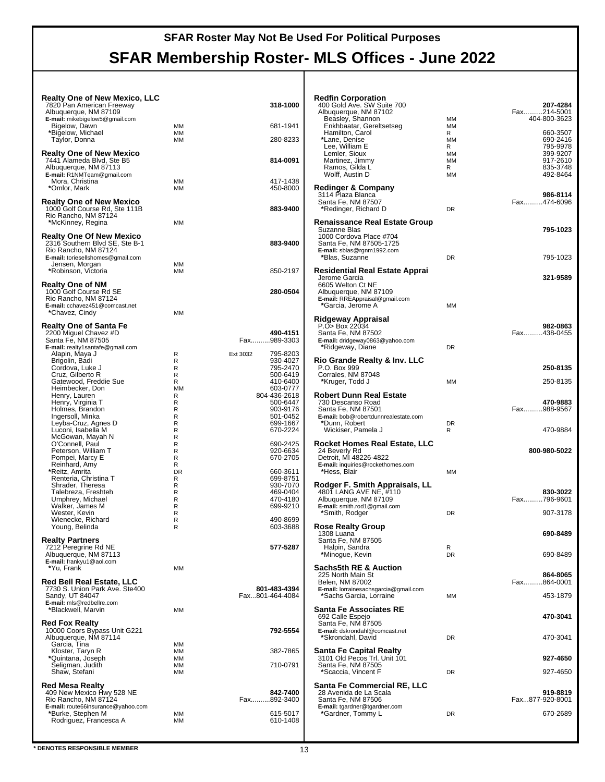| <b>Realty One of New Mexico, LLC</b><br>7820 Pan American Freeway |                 | 318-1000             | <b>Redfin Corporation</b><br>400 Gold Ave. SW Suite 700    |                        | 207-4284                |
|-------------------------------------------------------------------|-----------------|----------------------|------------------------------------------------------------|------------------------|-------------------------|
| Albuquerque, NM 87109                                             |                 |                      | Albuquerque, NM 87102                                      |                        | Fax214-5001             |
| E-mail: mikebigelow5@gmail.com<br>Bigelow, Dawn                   | MМ              | 681-1941             | Beasley, Shannon<br>Enkhbaatar, Gereltsetseg               | <b>MM</b><br><b>MM</b> | 404-800-3623            |
| *Bigelow, Michael                                                 | MM              |                      | Hamilton, Carol                                            | R                      | 660-3507                |
| Taylor, Donna                                                     | MM              | 280-8233             | *Lane, Denise<br>Lee. William E                            | <b>MM</b><br>R         | 690-2416<br>795-9978    |
| <b>Realty One of New Mexico</b>                                   |                 |                      | Lemler, Sioux                                              | <b>MM</b>              | 399-9207                |
| 7441 Alameda Blvd, Ste B5                                         |                 | 814-0091             | Martinez, Jimmy                                            | <b>MM</b>              | 917-2610                |
| Albuquerque, NM 87113<br>E-mail: R1NMTeam@gmail.com               |                 |                      | Ramos, Gilda L<br>Wolff, Austin D                          | R<br><b>MM</b>         | 835-3748<br>492-8464    |
| Mora, Christina                                                   | MМ              | 417-1438             |                                                            |                        |                         |
| *Omlor, Mark                                                      | MМ              | 450-8000             | <b>Redinger &amp; Company</b><br>3114 Plaza Blanca         |                        | 986-8114                |
| <b>Realty One of New Mexico</b>                                   |                 |                      | Santa Fe, NM 87507                                         |                        | Fax474-6096             |
| 1000 Golf Course Rd, Ste 111B<br>Rio Rancho, NM 87124             |                 | 883-9400             | *Redinger, Richard D                                       | <b>DR</b>              |                         |
| *McKinney, Regina                                                 | <b>MM</b>       |                      | <b>Renaissance Real Estate Group</b>                       |                        |                         |
| <b>Realty One Of New Mexico</b>                                   |                 |                      | Suzanne Blas<br>1000 Cordova Place #704                    |                        | 795-1023                |
| 2316 Southern Blvd SE, Ste B-1                                    |                 | 883-9400             | Santa Fe, NM 87505-1725                                    |                        |                         |
| Rio Rancho, NM 87124<br>E-mail: toriesellshomes@gmail.com         |                 |                      | E-mail: sblas@rgnm1992.com<br>*Blas, Suzanne               | <b>DR</b>              | 795-1023                |
| Jensen, Morgan                                                    | MМ              |                      |                                                            |                        |                         |
| *Robinson, Victoria                                               | <b>MM</b>       | 850-2197             | Residential Real Estate Apprai<br>Jerome Garcia            |                        | 321-9589                |
| <b>Realty One of NM</b>                                           |                 |                      | 6605 Welton Ct NE                                          |                        |                         |
| 1000 Golf Course Rd SE                                            |                 | 280-0504             | Albuquerque, NM 87109                                      |                        |                         |
| Rio Rancho, NM 87124<br>E-mail: cchavez451@comcast.net            |                 |                      | E-mail: RREAppraisal@gmail.com<br>*Garcia, Jerome A        | <b>MM</b>              |                         |
| *Chavez, Cindy                                                    | <b>MM</b>       |                      |                                                            |                        |                         |
| <b>Realty One of Santa Fe</b>                                     |                 |                      | Ridgeway Appraisal<br>P.O> Box 22034                       |                        | 982-0863                |
| 2200 Miguel Chavez #D                                             |                 | 490-4151             | Santa Fe. NM 87502                                         |                        | Fax438-0455             |
| Santa Fe, NM 87505<br>E-mail: realty1santafe@gmail.com            |                 | Fax989-3303          | E-mail: dridgeway0863@yahoo.com<br>*Ridgeway, Diane        | <b>DR</b>              |                         |
| Alapin, Maya J                                                    | R               | 795-8203<br>Ext 3032 |                                                            |                        |                         |
| Brigolin, Badi<br>Cordova, Luke J                                 | R<br>R          | 930-4027<br>795-2470 | Rio Grande Realty & Inv. LLC<br>P.O. Box 999               |                        | 250-8135                |
| Cruz, Gilberto R                                                  | R               | 500-6419             | Corrales, NM 87048                                         |                        |                         |
| Gatewood, Freddie Sue<br>Heimbecker, Don                          | R<br><b>MM</b>  | 410-6400<br>603-0777 | *Kruger, Todd J                                            | <b>MM</b>              | 250-8135                |
| Henry, Lauren                                                     | R               | 804-436-2618         | Robert Dunn Real Estate                                    |                        |                         |
| Henry, Virginia T                                                 | R               | 500-6447             | 730 Descanso Road                                          |                        | 470-9883                |
| Holmes, Brandon<br>Ingersoll, Minka                               | R<br>R          | 903-9176<br>501-0452 | Santa Fe, NM 87501<br>E-mail: bob@robertdunnrealestate.com |                        | Fax988-9567             |
| Leyba-Cruz, Agnes D                                               | R               | 699-1667             | *Dunn, Robert                                              | <b>DR</b>              |                         |
| Luconi, Isabella M<br>McGowan, Mayah N                            | R<br>R          | 670-2224             | Wickiser, Pamela J                                         | R                      | 470-9884                |
| O'Connell, Paul                                                   | R               | 690-2425             | Rocket Homes Real Estate, LLC                              |                        |                         |
| Peterson, William T<br>Pompei, Marcy E                            | R<br>R          | 920-6634<br>670-2705 | 24 Beverly Rd<br>Detroit, MI 48226-4822                    |                        | 800-980-5022            |
| Reinhard, Amy                                                     | R               |                      | E-mail: inquiries@rockethomes.com                          |                        |                         |
| *Reitz, Amrita<br>Renteria, Christina T                           | <b>DR</b><br>R  | 660-3611<br>699-8751 | *Hess, Blair                                               | <b>MM</b>              |                         |
| Shrader, Theresa                                                  | R               | 930-7070             | Rodger F. Smith Appraisals, LL                             |                        |                         |
| Talebreza, Freshteh<br>Umphrey, Michael                           | R<br>R          | 469-0404<br>470-4180 | 4801 LANG AVE NE, #110<br>Albuquerque, NM 87109            |                        | 830-3022<br>Fax796-9601 |
| Walker, James M                                                   | R               | 699-9210             | E-mail: smith.rod1@gmail.com                               |                        |                         |
| Wester, Kevin<br>Wienecke, Richard                                | R<br>R          | 490-8699             | *Smith, Rodger                                             | <b>DR</b>              | 907-3178                |
| Young, Belinda                                                    | R               | 603-3688             | <b>Rose Realty Group</b>                                   |                        |                         |
| <b>Realty Partners</b>                                            |                 |                      | 1308 Luana<br>Santa Fe. NM 87505                           |                        | 690-8489                |
| 7212 Peregrine Rd NE                                              |                 | 577-5287             | Halpin, Sandra                                             | R                      |                         |
| Albuquerque, NM 87113<br>E-mail: frankyu1@aol.com                 |                 |                      | *Minogue, Kevin                                            | <b>DR</b>              | 690-8489                |
| *Yu, Frank                                                        | MM              |                      | Sachs5th RE & Auction                                      |                        |                         |
| <b>Red Bell Real Estate, LLC</b>                                  |                 |                      | 225 North Main St<br>Belen, NM 87002                       |                        | 864-8065<br>Fax864-0001 |
| 7730 S. Union Park Ave. Ste400                                    |                 | 801-483-4394         | E-mail: lorrainesachsgarcia@gmail.com                      |                        |                         |
| Sandy, UT 84047                                                   |                 | Fax801-464-4084      | *Sachs Garcia, Lorraine                                    | MM                     | 453-1879                |
| E-mail: mls@redbellre.com<br>*Blackwell, Marvin                   | MM              |                      | Santa Fe Associates RE                                     |                        |                         |
| <b>Red Fox Realty</b>                                             |                 |                      | 692 Calle Espejo                                           |                        | 470-3041                |
| 10000 Coors Bypass Unit G221                                      |                 | 792-5554             | Santa Fe. NM 87505<br>E-mail: dskrondahl@comcast.net       |                        |                         |
| Albuquerque, NM 87114                                             |                 |                      | *Skrondahl, David                                          | <b>DR</b>              | 470-3041                |
| Garcia, Tina<br>Kloster, Taryn R                                  | MМ<br>MM        | 382-7865             | Santa Fe Capital Realty                                    |                        |                         |
| *Quintana, Joseph                                                 | MМ              |                      | 3101 Old Pecos Trl. Unit 101                               |                        | 927-4650                |
| Seligman, Judith<br>Shaw, Stefani                                 | <b>MM</b><br>MM | 710-0791             | Santa Fe, NM 87505<br>*Scaccia, Vincent F                  | <b>DR</b>              | 927-4650                |
|                                                                   |                 |                      |                                                            |                        |                         |
| <b>Red Mesa Realty</b><br>409 New Mexico Hwy 528 NE               |                 | 842-7400             | Santa Fe Commercial RE, LLC<br>28 Avenida de La Scala      |                        | 919-8819                |
| Rio Rancho, NM 87124                                              |                 | Fax892-3400          | Santa Fe, NM 87506                                         |                        | Fax877-920-8001         |
| E-mail: route66insurance@yahoo.com<br>*Burke, Stephen M           | MМ              | 615-5017             | E-mail: tgardner@tgardner.com<br>*Gardner, Tommy L         | <b>DR</b>              | 670-2689                |
|                                                                   |                 |                      |                                                            |                        |                         |
| Rodriguez, Francesca A                                            | MМ              | 610-1408             |                                                            |                        |                         |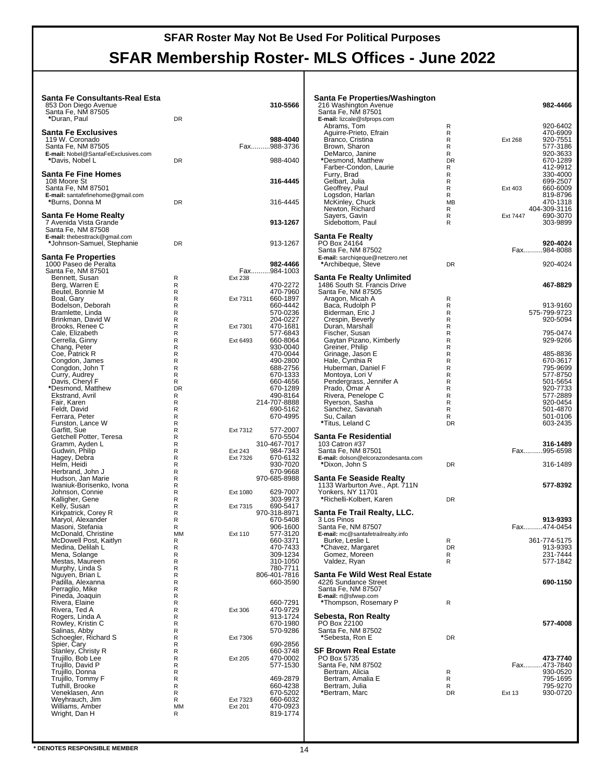| Santa Fe Consultants-Real Esta<br>853 Don Diego Avenue<br>Santa Fe, NM 87505<br>*Duran, Paul | <b>DR</b> | 310-5566                             | Santa Fe Pro<br>216 Washingto<br>Santa Fe, NM<br>E-mail: lizcale@ |
|----------------------------------------------------------------------------------------------|-----------|--------------------------------------|-------------------------------------------------------------------|
| <b>Santa Fe Exclusives</b><br>119 W. Coronado<br>Santa Fe. NM 87505                          |           | 988-4040<br>Fax988-3736              | Abrams, Ton<br>Aguirre-Priet<br>Branco, Cris<br>Brown, Shar       |
| E-mail: Nobel@SantaFeExclusives.com<br>*Davis, Nobel L                                       | <b>DR</b> | 988-4040                             | DeMarco, Ja<br>*Desmond, M                                        |
| Santa Fe Fine Homes<br>108 Moore St<br>Santa Fe, NM 87501                                    |           | 316-4445                             | Farber-Cond<br>Furry, Brad<br>Gelbart, Julia<br>Geoffrey, Pa      |
| E-mail: santafefinehome@gmail.com<br>*Burns, Donna M                                         | DR        | 316-4445                             | Logsdon, Ha<br>McKinley, Cl<br>Newton, Ricl                       |
| Santa Fe Home Realty<br>7 Avenida Vista Grande<br>Santa Fe, NM 87508                         |           | 913-1267                             | Sayers, Gav<br>Sidebottom,                                        |
| E-mail: thebesttrack@gmail.com<br>*Johnson-Samuel, Stephanie                                 | <b>DR</b> | 913-1267                             | Santa Fe Rea<br>PO Box 24164<br>Santa Fe, NM                      |
| <b>Santa Fe Properties</b><br>1000 Paseo de Peralta                                          |           | 982-4466                             | E-mail: sarchige<br>*Archibeque,                                  |
| Santa Fe, NM 87501                                                                           |           | Fax984-1003                          |                                                                   |
| Bennett, Susan<br>Berg, Warren E                                                             | R<br>R    | Ext 238<br>470-2272                  | Santa Fe Rea<br>1486 South St                                     |
| Beutel, Bonnie M                                                                             | R         | 470-7960                             | Santa Fe, NM                                                      |
| Boal, Gary                                                                                   | R         | 660-1897<br>Ext 7311                 | Aragon, Mica                                                      |
| Bodelson, Deborah                                                                            | R         | 660-4442                             | Baca, Rudol                                                       |
| Bramlette, Linda                                                                             | R         | 570-0236                             | Biderman, E                                                       |
| Brinkman, David W                                                                            | R         | 204-0227                             | Crespin, Bev                                                      |
| Brooks, Renee C                                                                              | R         | 470-1681<br>Ext 7301                 | Duran, Mars                                                       |
| Cale, Elizabeth                                                                              | R         | 577-6843                             | Fischer, Sus                                                      |
| Cerrella, Ginny                                                                              | R         | Ext 6493<br>660-8064                 | Gaytan Piza                                                       |
| Chang, Peter                                                                                 | R         | 930-0040                             | Greiner, Phil                                                     |
| Coe, Patrick R<br>Congdon, James                                                             | R<br>R    | 470-0044<br>490-2800                 | Grinage, Jas<br>Hale, Cynthia                                     |
| Congdon, John T                                                                              | R         | 688-2756                             | Huberman, D                                                       |
| Curry, Audrey                                                                                | R         | 670-1333                             | Montoya, Lo                                                       |
| Davis, Cheryl F                                                                              | R         | 660-4656                             | Pendergrass                                                       |
| *Desmond, Matthew                                                                            | DR        | 670-1289                             | Prado, Omar                                                       |
| Ekstrand, Avril                                                                              | R         | 490-8164                             | Rivera, Pene                                                      |
| Fair, Karen                                                                                  | R<br>R    | 214-707-8888<br>690-5162             | Ryerson, Sa                                                       |
| Feldt, David<br>Ferrara, Peter                                                               | R         | 670-4995                             | Sanchez, Sa<br>Su, Cailan                                         |
| Funston, Lance W                                                                             | R         |                                      | *Titus, Lelanc                                                    |
| Garfitt, Sue                                                                                 | R         | 577-2007<br>Ext 7312                 |                                                                   |
| Getchell Potter, Teresa                                                                      | R         | 670-5504                             | Santa Fe Res                                                      |
| Gramm, Ayden L                                                                               | R         | 310-467-7017                         | 103 Catron #3                                                     |
| Gudwin, Philip                                                                               | R         | Ext 243<br>984-7343                  | Santa Fe, NM                                                      |
| Hagey, Debra<br>Helm, Heidi                                                                  | R<br>R    | Ext 7326<br>670-6132<br>930-7020     | E-mail: dolson@<br>*Dixon, John                                   |
| Herbrand, John J                                                                             | R         | 670-9668                             |                                                                   |
| Hudson, Jan Marie                                                                            | R         | 970-685-8988                         | Santa Fe Sea                                                      |
| Iwaniuk-Borisenko, Ivona                                                                     | R         |                                      | 1133 Warburto                                                     |
| Johnson, Connie                                                                              | R         | Ext 1080<br>629-7007                 | Yonkers, NY 1                                                     |
| Kalligher, Gene                                                                              | R         | 303-9973                             | *Richelli-Kolb                                                    |
| Kelly, Susan<br>Kirkpatrick, Corey R                                                         | R<br>R    | 690-5417<br>Ext 7315<br>970-318-8971 | Santa Fe Trai                                                     |
| Maryol, Alexander                                                                            | R         | 670-5408                             | 3 Los Pinos                                                       |
| Masoni, Stefania                                                                             | R         | 906-1600                             | Santa Fe, NM                                                      |
| McDonald, Christine                                                                          | ΜМ        | 577-3120<br>Ext 110                  | E-mail: mc@san                                                    |
| McDowell Post, Kaitlyn                                                                       | R         | 660-3371                             | Burke, Leslie                                                     |
| Medina, Delilah L                                                                            | R         | 470-7433                             | *Chavez, Mar                                                      |
| Mena, Solange<br>Mestas, Maureen                                                             | R<br>R    | 309-1234<br>310-1050                 | Gomez, Mor<br>Valdez, Ryar                                        |
| Murphy, Linda S                                                                              | R         | 780-7711                             |                                                                   |
| Nguyen, Brian L                                                                              | R         | 806-401-7816                         | Santa Fe Wil                                                      |
| Padilla, Alexanna                                                                            | R         | 660-3590                             | 4226 Sundanc                                                      |
| Perraglio, Mike                                                                              | R         |                                      | Santa Fe. NM                                                      |
| Pineda, Joaquin                                                                              | R         |                                      | E-mail: rt@sfww                                                   |
| Rivera, Elaine                                                                               | R<br>R    | 660-7291<br>470-9729                 | *Thompson, F                                                      |
| Rivera, Ted A<br>Rogers, Linda A                                                             | R         | Ext 306<br>913-1724                  | Sebesta, Ror                                                      |
| Rowley, Kristin C                                                                            | R         | 670-1980                             | PO Box 22100                                                      |
| Salinas, Abby                                                                                | R         | 570-9286                             | Santa Fe, NM                                                      |
| Schoegler, Richard S                                                                         | R         | Ext 7306                             | *Sebesta, Ro                                                      |
| Spier, Cary                                                                                  | R         | 690-2856                             |                                                                   |
| Stanley, Christy R                                                                           | R         | 660-3748                             | SF Brown Re                                                       |
| Trujillo, Bob Lee                                                                            | R         | 470-0002<br>Ext 205                  | PO Box 5735                                                       |
| Trujillo, David P                                                                            | R         | 577-1530                             | Santa Fe, NM                                                      |
| Trujillo, Donna                                                                              | R         | 469-2879                             | Bertram, Alic                                                     |
| Trujillo, Tommy F<br>Tuthill, Brooke                                                         | R<br>R    | 660-4238                             | Bertram, Am<br>Bertram, Juli                                      |
| Veneklasen, Ann                                                                              | R         | 670-5202                             | *Bertram, Ma                                                      |
| Weyhrauch, Jim                                                                               | R         | 660-6032<br>Ext 7323                 |                                                                   |
| Williams, Amber                                                                              | ΜМ        | 470-0923<br>Ext 201                  |                                                                   |
| Wright, Dan H                                                                                | R         | 819-1774                             |                                                                   |
|                                                                                              |           |                                      |                                                                   |
|                                                                                              |           |                                      |                                                                   |

| Santa Fe Properties/Washington                        |                   |                |                         |
|-------------------------------------------------------|-------------------|----------------|-------------------------|
| 216 Washington Avenue<br>Santa Fe, NM 87501           |                   |                | 982-4466                |
| E-mail: lizcale@sfprops.com                           |                   |                |                         |
| Abrams, Tom                                           | R                 |                | 920-6402                |
| Aguirre-Prieto, Efrain<br>Branco, Cristina            | R<br>R            | <b>Ext 268</b> | 470-6909<br>920-7551    |
| Brown, Sharon                                         | R                 |                | 577-3186                |
| DeMarco, Janine                                       | R                 |                | 920-3633                |
| *Desmond, Matthew<br>Farber-Condon, Laurie            | DR<br>R           |                | 670-1289<br>412-9912    |
| Furry, Brad                                           | R                 |                | 330-4000                |
| Gelbart, Julia                                        | R                 |                | 699-2507                |
| Geoffrey, Paul<br>Logsdon, Harlan                     | R<br>R            | Ext 403        | 660-6009                |
| McKinley, Chuck                                       | MВ                |                | 819-8796<br>470-1318    |
| Newton, Richard<br>Sayers, Gavin                      | R                 |                | 404-309-3116            |
|                                                       | R                 | Ext 7447       | 690-3070                |
| Sidebottom, Paul                                      | R                 |                | 303-9899                |
| Santa Fe Realty                                       |                   |                |                         |
| PO Box 24164                                          |                   |                | 920-4024                |
| Santa Fe, NM 87502<br>E-mail: sarchiqeque@netzero.net |                   |                | Fax984-8088             |
| *Archibeque, Steve                                    | <b>DR</b>         |                | 920-4024                |
| Santa Fe Realty Unlimited                             |                   |                |                         |
| 1486 South St. Francis Drive                          |                   |                | 467-8829                |
| Santa Fe, NM 87505                                    |                   |                |                         |
| Aragon, Micah A                                       | R<br>R            |                | 913-9160                |
| Baca, Rudolph P<br>Biderman, Eric J                   | R                 |                | 575-799-9723            |
| Crespin, Beverly                                      | R                 |                | 920-5094                |
| Duran, Marshall                                       | R                 |                |                         |
| Fischer, Susan<br>Gaytan Pizano, Kimberly             | R<br>R            |                | 795-0474<br>929-9266    |
| Greiner, Philip                                       | R                 |                |                         |
| Grinage, Jason E                                      | R                 |                | 485-8836                |
| Hale, Cynthia R<br>Huberman, Daniel F                 | R<br>R            |                | 670-3617<br>795-9699    |
| Montoya, Lori V                                       | R                 |                | 577-8750                |
| Pendergrass, Jennifer A                               | R                 |                | 501-5654                |
| Prado, Omar A<br>Rivera, Penelope C                   | R<br>$\mathsf{R}$ |                | 920-7733<br>577-2889    |
| Ryerson, Sasha                                        | R                 |                | 920-0454                |
| Sanchez, Savanah                                      | R                 |                | 501-4870                |
| Su, Cailan<br>*Titus, Leland C                        | R<br><b>DR</b>    |                | 501-0106<br>603-2435    |
|                                                       |                   |                |                         |
| Santa Fe Residential                                  |                   |                |                         |
| 103 Catron #37<br>Santa Fe, NM 87501                  |                   |                | 316-1489<br>Fax995-6598 |
| E-mail: dolson@elcorazondesanta.com                   |                   |                |                         |
| *Dixon, John S                                        | DR                |                | 316-1489                |
| Santa Fe Seaside Realty                               |                   |                |                         |
| 1133 Warburton Ave., Apt. 711N                        |                   |                | 577-8392                |
| <b>Yonkers, NY 11701</b><br>*Richelli-Kolbert, Karen  | DR                |                |                         |
|                                                       |                   |                |                         |
| Santa Fe Trail Realty, LLC.                           |                   |                |                         |
| 3 Los Pinos<br>Santa Fe, NM 87507                     |                   |                | 913-9393<br>Fax474-0454 |
| E-mail: mc@santafetrailrealty.info                    |                   |                |                         |
| Burke, Leslie L                                       | R                 |                | 361-774-5175            |
| *Chavez, Margaret<br>Gomez, Moreen                    | DR<br>R           |                | 913-9393<br>231-7444    |
| Valdez, Ryan                                          | R                 |                | 577-1842                |
| Santa Fe Wild West Real Estate                        |                   |                |                         |
| 4226 Sundance Street                                  |                   |                | 690-1150                |
| Santa Fe, NM 87507                                    |                   |                |                         |
| E-mail: rt@sfwwp.com                                  |                   |                |                         |
| *Thompson, Rosemary P                                 | R                 |                |                         |
| Sebesta, Ron Realtv                                   |                   |                |                         |
| PO Box 22100<br>Santa Fe, NM 87502                    |                   |                | 577-4008                |
| *Sebesta, Ron E                                       | <b>DR</b>         |                |                         |
|                                                       |                   |                |                         |
| SF Brown Real Estate<br>PO Box 5735                   |                   |                | 473-7740                |
| Santa Fe, NM 87502                                    |                   |                | Fax473-7840             |
| Bertram, Alicia                                       | R                 |                | 930-0520                |
| Bertram, Amalia E<br>Bertram, Julia                   | R<br>R            |                | 795-1695<br>795-9270    |
| *Bertram, Marc                                        | DR                | <b>Ext 13</b>  | 930-0720                |
|                                                       |                   |                |                         |
|                                                       |                   |                |                         |
|                                                       |                   |                |                         |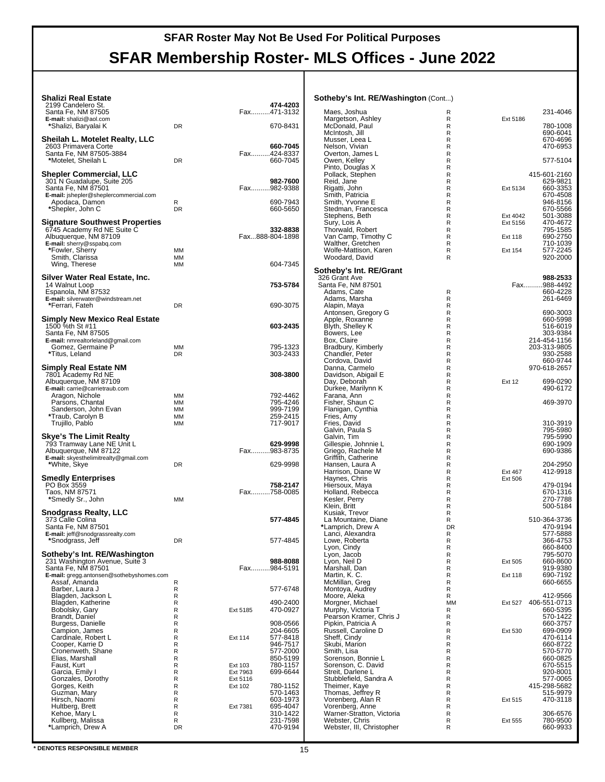# **SFAR Membership Roster- MLS Offices - June 2022**

#### **Shalizi Real Estate**

| Shalizi Real Estate<br>2199 Candelero St.<br>Santa Fe, NM 87505<br>E-mail: shalizi@aol.com<br>*Shalizi, Baryalai K                                       | DR                                           |                                 | 474-4203<br>Fax471-3132<br>670-8431                                                          |
|----------------------------------------------------------------------------------------------------------------------------------------------------------|----------------------------------------------|---------------------------------|----------------------------------------------------------------------------------------------|
| Sheilah L. Motelet Realty, LLC<br>2603 Primavera Corte<br>Santa Fe, NM 87505-3884<br>*Motelet, Sheilah L                                                 | <b>DR</b>                                    |                                 | 660-7045<br>Fax424-8337<br>660-7045                                                          |
| Shepler Commercial, LLC<br>301 N Guadalupe, Suite 205<br>Santa Fe, NM 87501<br><b>E-mail:</b> jshepler@sheplercommercial.com<br>Apodaca, Damon           | R                                            |                                 | 982-7600<br>Fax982-9388<br>690-7943                                                          |
| *Shepler, John C<br><b>Signature Southwest Properties</b><br>6745 Academy Rd NE Suite C                                                                  | <b>DR</b>                                    |                                 | 660-5650<br>332-8838                                                                         |
| Albuquerque, NM 87109<br>E-mail: sherry@sspabq.com<br>*Fowler, Sherry<br>Smith, Clarissa<br>Wing, Therese                                                | МM<br>ΜМ<br>MM                               |                                 | Fax888-804-1898<br>604-7345                                                                  |
| Silver Water Real Estate, Inc.<br>14 Walnut Loop<br>Espanola, NM 87532                                                                                   |                                              |                                 | 753-5784                                                                                     |
| E-mail: silverwater@windstream.net<br>*Ferrari, Fateh                                                                                                    | <b>DR</b>                                    |                                 | 690-3075                                                                                     |
| Simply New Mexico Real Estate<br>1500 %th St #11<br>Santa Fe, NM 87505<br>E-mail: nmrealtorleland@gmail.com                                              |                                              |                                 | 603-2435                                                                                     |
| Gomez, Germaine P<br>*Titus, Leland                                                                                                                      | ΜМ<br>DR.                                    |                                 | 795-1323<br>303-2433                                                                         |
| Simply Real Estate NM<br>7801 Academy Rd NE<br>Albuquerque, NM 87109<br>E-mail: carrie@carrietraub.com                                                   |                                              |                                 | 308-3800                                                                                     |
| Aragon, Nichole<br>Parsons, Chantal<br>Sanderson, John Evan<br>*Traub, Carolyn B<br>Trujillo, Pablo                                                      | МM<br>мм<br>МM<br>MМ<br>мм                   |                                 | 792-4462<br>795-4246<br>999-7199<br>259-2415<br>717-9017                                     |
| Skye's The Limit Realty<br>793 Tramway Lane NE Unit L<br>Albuquerque, NM 87122                                                                           |                                              |                                 | 629-9998<br>Fax983-8735                                                                      |
| E-mail: skyesthelimitrealty@gmail.com<br>*White, Skye                                                                                                    | DR                                           |                                 | 629-9998                                                                                     |
| <b>Smedly Enterprises</b><br>PO Box 3559<br>Taos, NM 87571<br>*Smedly Sr., John                                                                          | MМ                                           |                                 | 758-2147<br>Fax758-0085                                                                      |
| Snodgrass Realty, LLC<br>373 Calle Colina<br>Santa Fe, NM 87501<br>E-mail: jeff@snodgrassrealty.com                                                      |                                              |                                 | 577-4845                                                                                     |
| Snodgrass, Jeff<br>Sotheby's Int. RE/Washington                                                                                                          |                                              |                                 | 577-4845                                                                                     |
| 231 Washington Avenue, Suite 3<br>Santa Fe, NM 87501<br>E-mail: gregg.antonsen@sothebyshomes.com<br>Assaf, Amanda                                        | R                                            |                                 | 988-8088<br>Fax984-5191                                                                      |
| Barber, Laura J<br>Blagden, Jackson L                                                                                                                    | R<br>R<br>R                                  |                                 | 577-6748<br>490-2400                                                                         |
| Blagden, Katherine<br>Bobolsky, Gary<br>Brandt, Daniel                                                                                                   | R<br>R                                       | Ext 5185                        | 470-0927                                                                                     |
| Burgess, Danielle<br>Campion, James<br>Cardinale, Robert L<br>Cooper, Karrie D<br>Cronenweth, Shane<br>Elias, Marshall<br>Faust, Kurt<br>Garcia, Emily I | R<br>R<br>R<br>R<br>R<br>R<br>R<br>R         | Ext 114<br>Ext 103<br>Ext 7963  | 908-0566<br>204-6605<br>577-8418<br>946-7517<br>577-2000<br>850-5199<br>780-1157<br>699-6644 |
| Gonzales, Dorothy<br>Gorges, Keith<br>Guzman, Mary<br>Hirsch, Naomi<br>Hultberg, Brett<br>Kehoe, Mary L<br>Kullberg, Malissa<br>*Lamprich, Drew A        | R<br>R<br>R<br>R<br>R<br>R<br>R<br><b>DR</b> | Ext 5116<br>Ext 102<br>Ext 7381 | 780-1152<br>570-1463<br>603-1973<br>695-4047<br>310-1422<br>231-7598<br>470-9194             |
|                                                                                                                                                          |                                              |                                 |                                                                                              |

| <b>Sotheby's Int. RE/Washington (Cont)</b>   |         |               |                          |
|----------------------------------------------|---------|---------------|--------------------------|
| Maes, Joshua                                 | R       |               | 231-4046                 |
| Margetson, Ashley                            | R       | Ext 5186      |                          |
| McDonald, Paul<br>McIntosh, Jill             | R<br>R  |               | 780-1008<br>690-6041     |
| Musser, Leea L                               | R       |               | 670-4696                 |
| Nelson, Vivian                               | R       |               | 470-6953                 |
| Overton, James L                             | R       |               |                          |
| Owen, Kelley                                 | R       |               | 577-5104                 |
| Pinto, Douglas X<br>Pollack, Stephen         | R<br>R  |               | 415-601-2160             |
| Reid, Jane                                   | R       |               | 629-9821                 |
| Rigatti, John                                | R       | Ext 5134      | 660-3353                 |
| Smith, Patricia                              | R       |               | 670-4508                 |
| Smith, Yvonne E<br>Stedman, Francesca        | R<br>R  |               | 946-8156<br>670-5566     |
| Stephens, Beth                               | R       | Ext 4042      | 501-3088                 |
| Sury, Lois A                                 | R       | Ext 5156      | 470-4672                 |
| Thorwald, Robert                             | R       |               | 795-1585                 |
| Van Camp, Timothy C<br>Walther, Gretchen     | R<br>R  | Ext 118       | 690-2750<br>710-1039     |
| Wolfe-Mattison, Karen                        | R       | Ext 154       | 577-2245                 |
| Woodard, David                               | R       |               | 920-2000                 |
| Sotheby's Int. RE/Grant                      |         |               |                          |
| 326 Grant Ave                                |         |               | 988-2533                 |
| Santa Fe, NM 87501<br>Adams, Cate            | R       |               | Fax988-4492<br>660-4228  |
| Adams, Marsha                                | R       |               | 261-6469                 |
| Alapin, Maya                                 | R       |               |                          |
| Antonsen, Gregory G                          | R       |               | 690-3003                 |
| Apple, Roxanne<br>Blyth, Shelley K           | R<br>R  |               | 660-5998<br>516-6019     |
| Bowers, Lee                                  | R       |               | 303-9384                 |
| Box, Claire                                  | R       |               | 214-454-1156             |
| Bradbury, Kimberly                           | R       |               | 203-313-9805             |
| Chandler, Peter<br>Cordova, David            | R<br>R  |               | 930-2588<br>660-9744     |
| Danna, Carmelo                               | R       |               | 970-618-2657             |
| Davidson, Abigail E                          | R       |               |                          |
| Day, Deborah                                 | R       | <b>Ext 12</b> | 699-0290                 |
| Durkee, Marilynn K                           | R<br>R  |               | 490-6172                 |
| Farana, Ann<br>Fisher, Shaun C               | R       |               | 469-3970                 |
| Flanigan, Cynthia                            | R       |               |                          |
| Fries, Amy                                   | R       |               |                          |
| Fries, David<br>Galvin, Paula S              | R<br>R  |               | 310-3919<br>795-5980     |
| Galvin, Tim                                  | R       |               | 795-5990                 |
| Gillespie, Johnnie L                         | R       |               | 690-1909                 |
| Griego, Rachele M                            | R       |               | 690-9386                 |
| Griffith, Catherine<br>Hansen, Laura A       | R<br>R  |               | 204-2950                 |
| Harrison, Diane W                            | R       | Ext 467       | 412-9918                 |
| Haynes, Chris                                | R       | Ext 506       |                          |
| Hiersoux, Maya                               | R       |               | 479-0194                 |
| Holland, Rebecca                             | R<br>R  |               | 670-1316<br>270-7788     |
| Kesler, Perry<br>Klein, Britt                | R       |               | 500-5184                 |
| Kusiak, Trevor                               | R       |               |                          |
| La Mountaine, Diane                          | R       |               | 510-364-3736             |
| *Lamprich, Drew A<br>Lanci, Alexandra        | DR<br>R |               | 470-9194<br>577-5888     |
| Lowe, Roberta                                | R       |               | 366-4753                 |
| Lyon, Cindy                                  | R       |               | 660-8400                 |
| Lyon, Jacob                                  | R       |               | 795-5070                 |
| Lyon, Neil D<br>Marshall, Dan                | R<br>R  | Ext 505       | 660-8600<br>919-9380     |
| Martin, K. C.                                | R       | Ext 118       | 690-7192                 |
| McMillan, Greg                               | R       |               | 660-6655                 |
| Montoya, Audrey                              | R       |               |                          |
| Moore, Aleka                                 | R<br>МM |               | 412-9566                 |
| Morgner, Michael<br>Murphy, Victoria T       | R       | Ext 527       | 406-551-0713<br>660-5395 |
| Pearson Kramer, Chris J                      | R       |               | 570-1422                 |
| Pipkin, Patricia A                           | R       |               | 660-3757                 |
| Russell, Caroline D                          | R<br>R  | Ext 530       | 699-0909<br>470-6114     |
| Sheff, Cindy<br>Skubi, Marion                | R       |               | 660-8722                 |
| Smith, Lisa                                  | R       |               | 570-5770                 |
| Sorenson, Bonnie L                           | R       |               | 660-0825                 |
| Sorenson, C. David                           | R       |               | 670-5515                 |
| Streit, Darlene L<br>Stubblefield, Sandra A  | R<br>R  |               | 920-8001<br>577-0065     |
| Theimer, Kaye                                | R       |               | 415-298-5682             |
| Thomas, Jeffrey R                            | R       |               | 515-9979                 |
| Vorenberg, Alan R                            | R       | Ext 515       | 470-3118                 |
| Vorenberg, Anne<br>Warner-Stratton, Victoria | R<br>R  |               | 306-6576                 |
| Webster, Chris                               | R       | Ext 555       | 780-9500                 |
| Webster, III, Christopher                    | R       |               | 660-9933                 |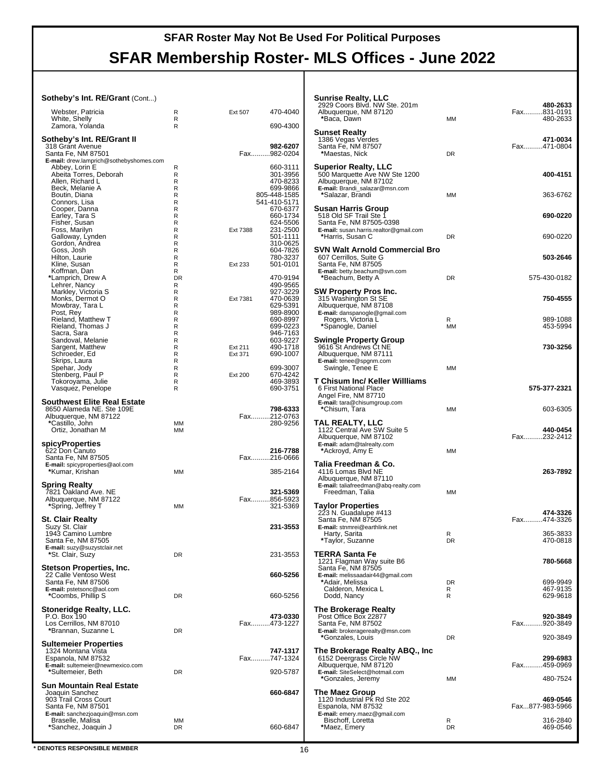## **SFAR Roster May Not Be Used For Political Purposes SFAR Membership Roster- MLS Offices - June 2022**

#### **Sotheby's Int. RE/Grant** (Cont...)

| Webster, Patricia                                | R         | Ext 507  | 470-4040                |
|--------------------------------------------------|-----------|----------|-------------------------|
| White, Shelly                                    | R         |          |                         |
| Zamora, Yolanda                                  | R         |          | 690-4300                |
|                                                  |           |          |                         |
| Sotheby's Int. RE/Grant II                       |           |          |                         |
| 318 Grant Avenue                                 |           |          | 982-6207                |
| Santa Fe, NM 87501                               |           |          | Fax982-0204             |
| E-mail: drew.lamprich@sothebyshomes.com          |           |          | 660-3111                |
| Abbey, Lorin E<br>Abeita Torres, Deborah         | R<br>R    |          | 301-3956                |
| Allen, Richard L                                 | R         |          | 470-8233                |
| Beck, Melanie A                                  | R         |          | 699-9866                |
| Boutin, Diana                                    | R         |          | 805-448-1585            |
| Connors, Lisa                                    | R         |          | 541-410-5171            |
|                                                  | R         |          | 670-6377                |
| Cooper, Danna<br>Earley, Tara S<br>Fisher, Susan | R         |          | 660-1734                |
|                                                  | R         |          | 624-5506                |
| Foss, Marilyn                                    | R         | Ext 7388 | 231-2500                |
| Galloway, Lynden                                 | R         |          | 501-1111                |
| Gordon, Andrea                                   | R         |          | 310-0625                |
| Goss, Josh                                       | R         |          | 604-7826                |
| Hilton, Laurie                                   | R         |          | 780-3237                |
| Kline, Susan                                     | R         | Ext 233  | 501-0101                |
| Koffman, Dan                                     | R         |          |                         |
| *Lamprich, Drew A                                | <b>DR</b> |          | 470-9194                |
| Lehrer, Nancy                                    | R<br>R    |          | 490-9565<br>927-3229    |
| Markley, Victoria S<br>Monks, Dermot O           | R         | Ext 7381 | 470-0639                |
| Mowbray, Tara L                                  | R         |          | 629-5391                |
| Post, Rey                                        | R         |          | 989-8900                |
| Rieland, Matthew T                               | R         |          | 690-8997                |
| Rieland, Thomas J                                | R         |          | 699-0223                |
| Sacra, Sara                                      | R         |          | 946-7163                |
| Sandoval, Melanie                                | R         |          | 603-9227                |
| Sargent, Matthew                                 | R         | Ext 211  | 490-1718                |
| Schroeder, Ed                                    | R         | Ext 371  | 690-1007                |
| Skrips, Laura                                    | R         |          |                         |
| Spehar, Jody                                     | R         |          | 699-3007                |
| Stenberg, Paul P                                 | R         | Ext 200  | 670-4242                |
| Tokoroyama, Julie                                | R         |          | 469-3893                |
| Vasquez, Penelope                                | R         |          | 690-3751                |
|                                                  |           |          |                         |
| <b>Southwest Elite Real Estate</b>               |           |          |                         |
| 8650 Alameda NE. Ste 109E                        |           |          | 798-6333<br>Fax212-0763 |
| Albuquerque, NM 87122<br>*Castillo, John         | ΜМ        |          | 280-9256                |
| Ortiz, Jonathan M                                | MM        |          |                         |
|                                                  |           |          |                         |
| spicyProperties                                  |           |          |                         |
| 622 Don Canuto                                   |           |          | 216-7788                |
| Santa Fe, NM 87505                               |           |          | Fax216-0666             |
| E-mail: spicyproperties@aol.com                  |           |          |                         |
| *Kumar, Krishan                                  | MM        |          | 385-2164                |
|                                                  |           |          |                         |
| Spring Realty                                    |           |          |                         |
| 7821 Oakland Ave. NE                             |           |          | 321-5369                |
| Albuquerque, NM 87122                            |           |          | Fax856-5923             |
| *Spring, Jeffrey T                               | ΜМ        |          | 321-5369                |
|                                                  |           |          |                         |
| St. Clair Realty                                 |           |          | 231-3553                |
| Suzy St. Clair<br>1943 Camino Lumbre             |           |          |                         |
| Santa Fe, NM 87505                               |           |          |                         |
| E-mail: suzy@suzystclair.net                     |           |          |                         |
| *St. Clair, Suzy                                 | DR        |          | 231-3553                |
|                                                  |           |          |                         |
| Stetson Properties, Inc.                         |           |          |                         |
| 22 Calle Ventoso West                            |           |          | 660-5256                |
| Santa Fe, NM 87506                               |           |          |                         |
| E-mail: pstetsonc@aol.com                        |           |          |                         |
| *Coombs, Phillip S                               | <b>DR</b> |          | 660-5256                |
|                                                  |           |          |                         |
| <b>Stoneridge Realty, LLC.</b>                   |           |          |                         |
| P.O. Box 190                                     |           |          | 473-0330                |
| Los Cerrillos, NM 87010                          | DR        |          | Fax473-1227             |
| *Brannan, Suzanne L                              |           |          |                         |
| <b>Sultemeier Properties</b>                     |           |          |                         |
| 1324 Montana Vista                               |           |          | 747-1317                |
| Espanola, NM 87532                               |           |          | Fax747-1324             |
| E-mail: sultemeier@newmexico.com                 |           |          |                         |
| *Sultemeier, Beth                                | DR        |          | 920-5787                |
|                                                  |           |          |                         |
| Sun Mountain Real Estate                         |           |          |                         |
| Joaquin Sanchez                                  |           |          | 660-6847                |
| 903 Trail Cross Court                            |           |          |                         |
| Santa Fe, NM 87501                               |           |          |                         |
| E-mail: sanchezjoaquin@msn.com                   |           |          |                         |
| Braselle, Malisa                                 |           |          |                         |
| *Sanchez, Joaquin J                              | ΜМ<br>DR  |          | 660-6847                |

| Sunrise Realty, LLC<br>2929 Coors Blvd. NW Ste. 201m<br>Albuquerque, NM 87120<br>*Baca, Dawn                      | MМ           | 480-2633<br>Fax831-0191<br>480-2633 |
|-------------------------------------------------------------------------------------------------------------------|--------------|-------------------------------------|
| <b>Sunset Realty</b><br>1386 Vegas Verdes<br>Santa Fe, NM 87507<br>*Maestas, Nick                                 | <b>DR</b>    | 471-0034<br>Fax471-0804             |
| <b>Superior Realty, LLC</b><br>500 Marquette Ave NW Ste 1200<br>Albuquerque, NM 87102                             |              | 400-4151                            |
| E-mail: Brandi_salazar@msn.com<br>*Salazar, Brandi                                                                | МM           | 363-6762                            |
| Susan Harris Group<br>518 Old SF Trail Ste 1<br>Santa Fe, NM 87505-0398<br>E-mail: susan.harris.realtor@gmail.com |              | 690-0220                            |
| *Harris, Susan C<br><b>SVN Walt Arnold Commercial Bro</b>                                                         | DR           | 690-0220                            |
| 607 Cerrillos, Suite G<br>Santa Fe, NM 87505<br>E-mail: betty.beachum@svn.com                                     |              | 503-2646                            |
| *Beachum, Betty A<br>SW Property Pros Inc.                                                                        | DR           | 575-430-0182                        |
| 315 Washington St SE<br>Albuquerque, NM 87108<br>E-mail: danspanogle@gmail.com                                    |              | 750-4555                            |
| Rogers, Victoria L<br>*Spanogle, Daniel                                                                           | R<br>MM      | 989-1088<br>453-5994                |
| Swingle Property Group<br>9616 St Andrews Ct NE<br>Albuquerque, NM 87111<br>E-mail: tenee@spgnm.com               |              | 730-3256                            |
| Swingle, Tenee E<br>T Chisum Inc/ Keller Willliams                                                                | МM           |                                     |
| 6 First National Place<br>Angel Fire, NM 87710<br>E-mail: tara@chisumgroup.com                                    |              | 575-377-2321                        |
| *Chisum, Tara                                                                                                     | МM           | 603-6305                            |
| TAL REALTY, LLC<br>1122 Central Ave SW Suite 5<br>Albuquerque, NM 87102<br>E-mail: adam@talrealty.com             |              | 440-0454<br>Fax232-2412             |
| *Ackroyd, Amy E<br>Talia Freedman & Co.                                                                           | MМ           |                                     |
| 4116 Lomas Blvd NE<br>Albuquerque, NM 87110<br><b>E-mail:</b> taliafreedman@abq-realty.com<br>Freedman, Talia     | MM           | 263-7892                            |
| <b>Taylor Properties</b>                                                                                          |              | 474-3326                            |
| 223 N. Guadalupe #413<br>Santa Fe, NM 87505<br>E-mail: stnmrei@earthlink.net                                      |              | Fax474-3326                         |
| Harty, Sarita<br>*Taylor, Suzanne                                                                                 | к<br>DR      | 365-3833<br>470-0818                |
| TERRA Santa Fe<br>1221 Flagman Way suite B6<br>Santa Fe, NM 87505                                                 |              | 780-5668                            |
| E-mail: melissaadair44@gmail.com<br>*Adair, Melissa<br>Calderon, Mexica L<br>Dodd, Nancy                          | DR<br>R<br>R | 699-9949<br>467-9135<br>629-9618    |
| <b>The Brokerage Realty</b>                                                                                       |              | 920-3849                            |
| Post Office Box 22877<br>Santa Fe, NM 87502<br>E-mail: brokeragerealty@msn.com                                    |              | Fax920-3849                         |
| *Gonzales, Louis<br>The Brokerage Realty ABQ., Inc                                                                | DR           | 920-3849                            |
| 6152 Deergrass Circle NW<br>Albuquerque, NM 87120<br>E-mail: SiteSelect@hotmail.com                               |              | 299-6983<br>Fax459-0969             |
| *Gonzales, Jeremy<br>The Maez Group                                                                               | MM           | 480-7524                            |
| 1120 Industrial Pk Rd Ste 202<br>Espanola, NM 87532<br>E-mail: emery.maez@gmail.com                               |              | 469-0546<br>Fax877-983-5966         |
| Bischoff, Loretta<br>*Maez, Emery                                                                                 | R<br>DR      | 316-2840<br>469-0546                |

**\*** DENOTES RESPONSIBLE MEMBER 16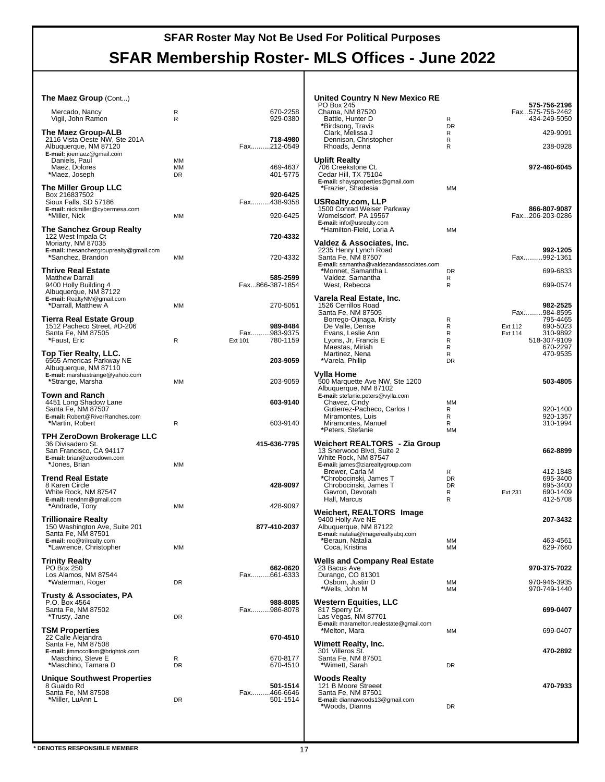## **SFAR Membership Roster- MLS Offices - June 2022**

| <b>The Maez Group (Cont)</b>                                                 |                        |                              | United Country N New Mexico RE<br>PO Box 245                            |                        | 575-756-2196                    |
|------------------------------------------------------------------------------|------------------------|------------------------------|-------------------------------------------------------------------------|------------------------|---------------------------------|
| Mercado, Nancy<br>Vigil, John Ramon                                          | R<br>$\mathsf{R}$      | 670-2258<br>929-0380         | Chama, NM 87520<br>Battle, Hunter D                                     | R                      | Fax575-756-2462<br>434-249-5050 |
|                                                                              |                        |                              | *Birdsong, Travis                                                       | <b>DR</b>              |                                 |
| The Maez Group-ALB<br>2116 Vista Oeste NW. Ste 201A<br>Albuquerque, NM 87120 |                        | 718-4980<br>Fax212-0549      | Clark, Melissa J<br>Dennison, Christopher<br>Rhoads, Jenna              | R<br>$\mathsf R$<br>R  | 429-9091<br>238-0928            |
| E-mail: joemaez@gmail.com<br>Daniels, Paul                                   | MМ                     |                              | <b>Uplift Realty</b>                                                    |                        |                                 |
| Maez, Dolores<br>*Maez, Joseph                                               | <b>MM</b><br><b>DR</b> | 469-4637<br>401-5775         | 706 Creekstone Ct.<br>Cedar Hill, TX 75104                              |                        | 972-460-6045                    |
|                                                                              |                        |                              | E-mail: shaysproperties@gmail.com                                       |                        |                                 |
| The Miller Group LLC<br>Box 216837502                                        |                        | 920-6425                     | *Frazier, Shadesia                                                      | MM                     |                                 |
| Sioux Falls, SD 57186<br>E-mail: nickmiller@cybermesa.com                    |                        | Fax438-9358                  | USRealty.com, LLP<br>1500 Conrad Weiser Parkway                         |                        | 866-807-9087                    |
| *Miller, Nick                                                                | MМ                     | 920-6425                     | Womelsdorf, PA 19567                                                    |                        | Fax206-203-0286                 |
| <b>The Sanchez Group Realty</b>                                              |                        |                              | E-mail: info@usrealty.com<br>*Hamilton-Field, Loria A                   | MM                     |                                 |
| 122 West Impala Ct<br>Moriarty, NM 87035                                     |                        | 720-4332                     | Valdez & Associates, Inc.                                               |                        |                                 |
| E-mail: thesanchezgrouprealty@gmail.com                                      |                        |                              | 2235 Henry Lynch Road                                                   |                        | 992-1205                        |
| *Sanchez, Brandon                                                            | MМ                     | 720-4332                     | Santa Fe, NM 87507<br>E-mail: samantha@valdezandassociates.com          |                        | Fax992-1361                     |
| <b>Thrive Real Estate</b><br><b>Matthew Darrall</b>                          |                        | 585-2599                     | *Monnet, Samantha L<br>Valdez, Samantha                                 | DR<br>R                | 699-6833                        |
| 9400 Holly Building 4                                                        |                        | Fax866-387-1854              | West, Rebecca                                                           | R                      | 699-0574                        |
| Albuquerque, NM 87122<br>E-mail: RealtyNM@gmail.com                          |                        |                              | Varela Real Estate, Inc.                                                |                        |                                 |
| *Darrall, Matthew A                                                          | MM                     | 270-5051                     | 1526 Cerrillos Road<br>Santa Fe, NM 87505                               |                        | 982-2525<br>Fax984-8595         |
| Tierra Real Estate Group                                                     |                        |                              | Borrego-Ojinaga, Kristy                                                 | R                      | 795-4465<br>690-5023            |
| 1512 Pacheco Street, #D-206<br>Santa Fe, NM 87505                            |                        | 989-8484<br>.983-9375<br>Fax | De Valle, Denise<br>Evans, Leslie Ann                                   | R<br>R                 | Ext 112<br>310-9892<br>Ext 114  |
| *Faust, Eric                                                                 | R                      | 780-1159<br>Ext 101          | Lyons, Jr, Francis E<br>Maestas, Miriah                                 | R<br>R                 | 518-307-9109<br>670-2297        |
| Top Tier Realty, LLC.                                                        |                        | 203-9059                     | Martinez, Nena<br>*Varela, Phillip                                      | R                      | 470-9535                        |
| 6565 Americas Parkway NE<br>Albuquerque, NM 87110                            |                        |                              |                                                                         | DR                     |                                 |
| E-mail: marshastrange@yahoo.com<br>*Strange, Marsha                          | MМ                     | 203-9059                     | Vylla Home<br>500 Marquette Ave NW, Ste 1200                            |                        | 503-4805                        |
| <b>Town and Ranch</b>                                                        |                        |                              | Albuquerque, NM 87102                                                   |                        |                                 |
| 4451 Long Shadow Lane                                                        |                        | 603-9140                     | E-mail: stefanie.peters@vylla.com<br>Chavez, Cindy                      | MМ                     |                                 |
| Santa Fe, NM 87507<br>E-mail: Robert@RiverRanches.com                        |                        |                              | Gutierrez-Pacheco, Carlos I<br>Miramontes, Luis                         | R<br>R                 | 920-1400<br>920-1357            |
| *Martin, Robert                                                              | R                      | 603-9140                     | Miramontes, Manuel<br>*Peters, Stefanie                                 | R<br><b>MM</b>         | 310-1994                        |
| TPH ZeroDown Brokerage LLC                                                   |                        |                              |                                                                         |                        |                                 |
| 36 Divisadero St.<br>San Francisco, CA 94117                                 |                        | 415-636-7795                 | Weichert REALTORS <sup>®</sup> - Zia Group<br>13 Sherwood Blvd, Suite 2 |                        | 662-8899                        |
| E-mail: brian@zerodown.com<br>*Jones, Brian                                  | MМ                     |                              | White Rock, NM 87547<br>E-mail: james@ziarealtygroup.com                |                        |                                 |
|                                                                              |                        |                              | Brewer, Carla M                                                         | R                      | 412-1848                        |
| <b>Trend Real Estate</b><br>8 Karen Circle                                   |                        | 428-9097                     | *Chrobocinski, James T<br>Chrobocinski, James T                         | <b>DR</b><br><b>DR</b> | 695-3400<br>695-3400            |
| White Rock, NM 87547<br>E-mail: trendnm@gmail.com                            |                        |                              | Gavron, Devorah<br>Hall, Marcus                                         | R<br>$\mathsf{R}$      | 690-1409<br>Ext 231<br>412-5708 |
| *Andrade, Tony                                                               | MМ                     | 428-9097                     | Weichert, REALTORS® Image                                               |                        |                                 |
| <b>Trillionaire Realty</b>                                                   |                        |                              | 9400 Holly Ave NE                                                       |                        | 207-3432                        |
| 150 Washington Ave, Suite 201<br>Santa Fe, NM 87501                          |                        | 877-410-2037                 | Albuquerque, NM 87122<br>E-mail: natalia@imagerealtyabq.com             |                        |                                 |
| E-mail: reo@trilrealty.com<br>*Lawrence, Christopher                         | <b>MM</b>              |                              | *Beraun, Natalia<br>Coca, Kristina                                      | ΜМ<br><b>MM</b>        | 463-4561<br>629-7660            |
|                                                                              |                        |                              |                                                                         |                        |                                 |
| <b>Trinity Realty</b><br><b>PO Box 250</b>                                   |                        | 662-0620                     | <b>Wells and Company Real Estate</b><br>23 Bacus Ave                    |                        | 970-375-7022                    |
| Los Alamos, NM 87544<br>*Waterman, Roger                                     | <b>DR</b>              | Fax661-6333                  | Durango, CO 81301<br>Osborn, Justin D                                   | ΜМ                     | 970-946-3935                    |
| <b>Trusty &amp; Associates, PA</b>                                           |                        |                              | *Wells, John M                                                          | MМ                     | 970-749-1440                    |
| P.O. Box 4564                                                                |                        | 988-8085                     | Western Equities, LLC                                                   |                        |                                 |
| Santa Fe, NM 87502<br>*Trusty, Jane                                          | <b>DR</b>              | Fax986-8078                  | 817 Sperry Dr.<br>Las Vegas, NM 87701                                   |                        | 699-0407                        |
| <b>TSM Properties</b>                                                        |                        |                              | E-mail: maramelton.realestate@gmail.com<br>*Melton, Mara                | MМ                     | 699-0407                        |
| 22 Calle Alejandra                                                           |                        | 670-4510                     |                                                                         |                        |                                 |
| Santa Fe, NM 87508<br>E-mail: jimmccollom@brightok.com                       |                        |                              | <b>Wimett Realty, Inc.</b><br>301 Villeros St.                          |                        | 470-2892                        |
| Maschino, Steve E<br>*Maschino, Tamara D                                     | R<br><b>DR</b>         | 670-8177<br>670-4510         | Santa Fe, NM 87501<br>*Wimett, Sarah                                    | <b>DR</b>              |                                 |
|                                                                              |                        |                              |                                                                         |                        |                                 |
| <b>Unique Southwest Properties</b><br>8 Gualdo Rd                            |                        | 501-1514                     | <b>Woods Realty</b><br>121 B Moore Streeet                              |                        | 470-7933                        |
| Santa Fe, NM 87508<br>*Miller, LuAnn L                                       | <b>DR</b>              | Fax466-6646<br>501-1514      | Santa Fe, NM 87501<br>E-mail: diannawoods13@gmail.com                   |                        |                                 |
|                                                                              |                        |                              | *Woods, Dianna                                                          | <b>DR</b>              |                                 |
|                                                                              |                        |                              |                                                                         |                        |                                 |